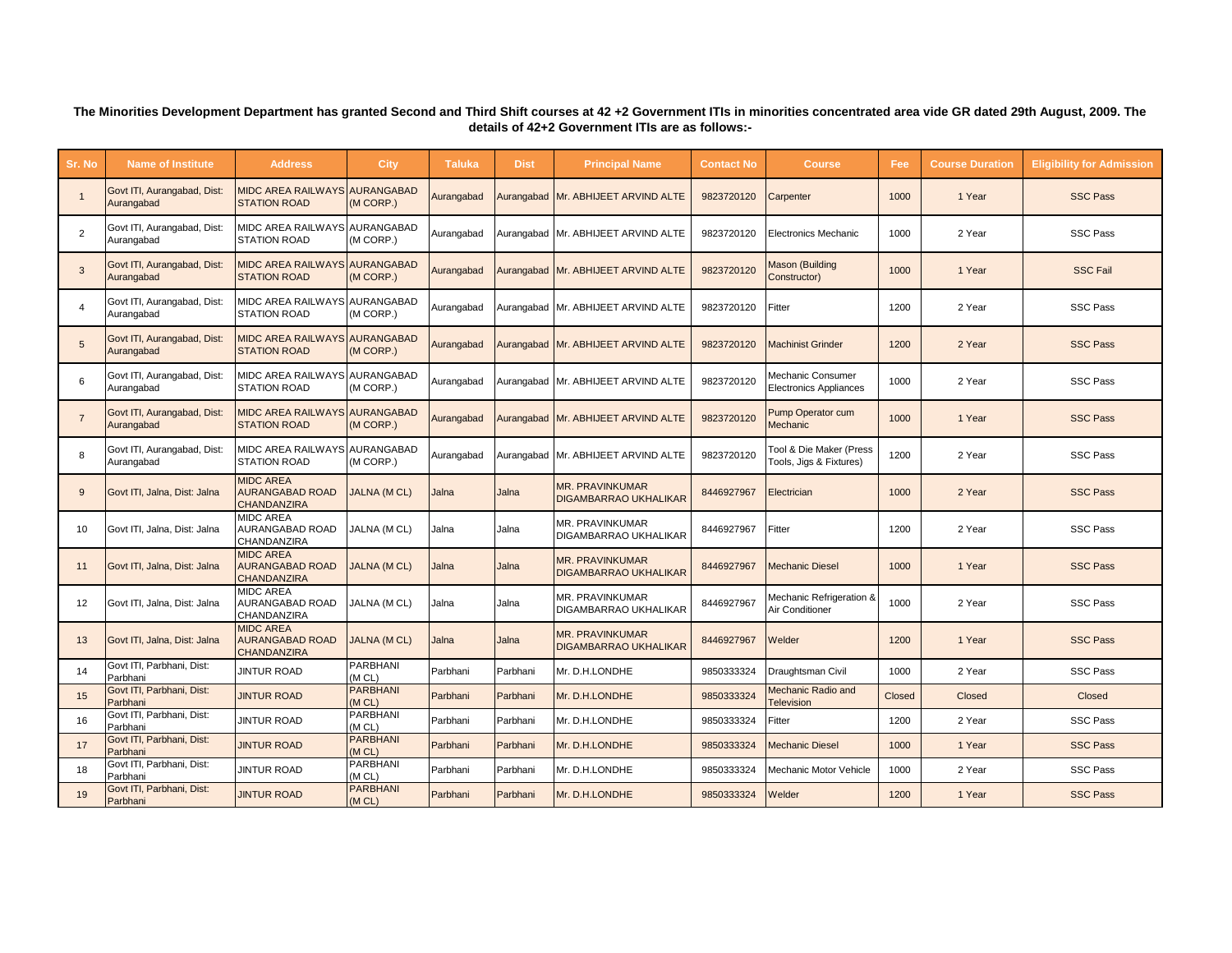## **The Minorities Development Department has granted Second and Third Shift courses at 42 +2 Government ITIs in minorities concentrated area vide GR dated 29th August, 2009. The details of 42+2 Government ITIs are as follows:-**

| Sr. No         | <b>Name of Institute</b>                  | <b>Address</b>                                                   | <b>City</b>               | <b>Taluka</b> | <b>Dist</b> | <b>Principal Name</b>                                  | <b>Contact No</b> | <b>Course</b>                                      | Fee    | <b>Course Duration</b> | <b>Eligibility for Admission</b> |
|----------------|-------------------------------------------|------------------------------------------------------------------|---------------------------|---------------|-------------|--------------------------------------------------------|-------------------|----------------------------------------------------|--------|------------------------|----------------------------------|
|                | Govt ITI, Aurangabad, Dist:<br>Aurangabad | <b>MIDC AREA RAILWAYS AURANGABAD</b><br><b>STATION ROAD</b>      | (M CORP.)                 | Aurangabad    |             | Aurangabad Mr. ABHIJEET ARVIND ALTE                    | 9823720120        | Carpenter                                          | 1000   | 1 Year                 | <b>SSC Pass</b>                  |
| 2              | Govt ITI, Aurangabad, Dist:<br>Aurangabad | MIDC AREA RAILWAYS AURANGABAD<br><b>STATION ROAD</b>             | (M CORP.)                 | Aurangabad    |             | Aurangabad Mr. ABHIJEET ARVIND ALTE                    | 9823720120        | <b>Electronics Mechanic</b>                        | 1000   | 2 Year                 | <b>SSC Pass</b>                  |
| 3              | Govt ITI, Aurangabad, Dist:<br>Aurangabad | <b>MIDC AREA RAILWAYS AURANGABAD</b><br><b>STATION ROAD</b>      | (M CORP.)                 | Aurangabad    |             | Aurangabad Mr. ABHIJEET ARVIND ALTE                    | 9823720120        | <b>Aason (Building</b><br>Constructor)             | 1000   | 1 Year                 | <b>SSC Fail</b>                  |
| $\overline{4}$ | Govt ITI, Aurangabad, Dist:<br>Aurangabad | MIDC AREA RAILWAYS AURANGABAD<br><b>STATION ROAD</b>             | (M CORP.)                 | Aurangabad    |             | Aurangabad Mr. ABHIJEET ARVIND ALTE                    | 9823720120        | Fitter                                             | 1200   | 2 Year                 | <b>SSC Pass</b>                  |
| 5              | Govt ITI, Aurangabad, Dist:<br>Aurangabad | <b>MIDC AREA RAILWAYS AURANGABAD</b><br><b>STATION ROAD</b>      | (M CORP.)                 | Aurangabad    |             | Aurangabad Mr. ABHIJEET ARVIND ALTE                    | 9823720120        | <b>Machinist Grinder</b>                           | 1200   | 2 Year                 | <b>SSC Pass</b>                  |
| 6              | Govt ITI, Aurangabad, Dist:<br>Aurangabad | MIDC AREA RAILWAYS AURANGABAD<br><b>STATION ROAD</b>             | (M CORP.)                 | Aurangabad    |             | Aurangabad Mr. ABHIJEET ARVIND ALTE                    | 9823720120        | Mechanic Consumer<br><b>Electronics Appliances</b> | 1000   | 2 Year                 | <b>SSC Pass</b>                  |
| $\overline{7}$ | Govt ITI, Aurangabad, Dist:<br>Aurangabad | MIDC AREA RAILWAYS AURANGABAD<br><b>STATION ROAD</b>             | (M CORP.)                 | Aurangabad    |             | Aurangabad Mr. ABHIJEET ARVIND ALTE                    | 9823720120        | Pump Operator cum<br>Mechanic                      | 1000   | 1 Year                 | <b>SSC Pass</b>                  |
| 8              | Govt ITI, Aurangabad, Dist:<br>Aurangabad | MIDC AREA RAILWAYS AURANGABAD<br><b>STATION ROAD</b>             | (M CORP.)                 | Aurangabad    |             | Aurangabad Mr. ABHIJEET ARVIND ALTE                    | 9823720120        | Tool & Die Maker (Press<br>Tools, Jigs & Fixtures) | 1200   | 2 Year                 | <b>SSC Pass</b>                  |
| 9              | Govt ITI, Jalna, Dist: Jalna              | <b>MIDC AREA</b><br><b>AURANGABAD ROAD</b><br><b>CHANDANZIRA</b> | <b>JALNA (M CL)</b>       | Jalna         | Jalna       | <b>MR. PRAVINKUMAR</b><br><b>DIGAMBARRAO UKHALIKAR</b> | 8446927967        | Electrician                                        | 1000   | 2 Year                 | <b>SSC Pass</b>                  |
| 10             | Govt ITI, Jalna, Dist: Jalna              | <b>MIDC AREA</b><br><b>AURANGABAD ROAD</b><br>CHANDANZIRA        | JALNA (M CL)              | Jalna         | Jalna       | MR. PRAVINKUMAR<br>DIGAMBARRAO UKHALIKAR               | 8446927967        | Fitter                                             | 1200   | 2 Year                 | <b>SSC Pass</b>                  |
| 11             | Govt ITI, Jalna, Dist: Jalna              | <b>MIDC AREA</b><br><b>AURANGABAD ROAD</b><br><b>CHANDANZIRA</b> | <b>JALNA (M CL)</b>       | Jalna         | Jalna       | <b>MR. PRAVINKUMAR</b><br><b>DIGAMBARRAO UKHALIKAR</b> | 8446927967        | Mechanic Diesel                                    | 1000   | 1 Year                 | <b>SSC Pass</b>                  |
| 12             | Govt ITI, Jalna, Dist: Jalna              | <b>MIDC AREA</b><br><b>AURANGABAD ROAD</b><br>CHANDANZIRA        | JALNA (M CL)              | Jalna         | Jalna       | MR. PRAVINKUMAR<br>DIGAMBARRAO UKHALIKAR               | 8446927967        | Mechanic Refrigeration &<br>Air Conditioner        | 1000   | 2 Year                 | <b>SSC Pass</b>                  |
| 13             | Govt ITI, Jalna, Dist: Jalna              | <b>MIDC AREA</b><br><b>AURANGABAD ROAD</b><br><b>CHANDANZIRA</b> | <b>JALNA (M CL)</b>       | Jalna         | Jalna       | <b>MR. PRAVINKUMAR</b><br><b>DIGAMBARRAO UKHALIKAR</b> | 8446927967        | Welder                                             | 1200   | 1 Year                 | <b>SSC Pass</b>                  |
| 14             | Govt ITI. Parbhani. Dist:<br>Parbhani     | <b>JINTUR ROAD</b>                                               | <b>PARBHANI</b><br>(M CL) | Parbhani      | Parbhani    | Mr. D.H.LONDHE                                         | 9850333324        | Draughtsman Civil                                  | 1000   | 2 Year                 | <b>SSC Pass</b>                  |
| 15             | Govt ITI, Parbhani, Dist:<br>Parbhani     | <b>JINTUR ROAD</b>                                               | <b>PARBHANI</b><br>(M CL) | Parbhani      | Parbhani    | Mr. D.H.LONDHE                                         | 9850333324        | Mechanic Radio and<br><b>Television</b>            | Closed | Closed                 | Closed                           |
| 16             | Govt ITI, Parbhani, Dist:<br>Parbhani     | <b>JINTUR ROAD</b>                                               | PARBHANI<br>(M CL)        | Parbhani      | Parbhani    | Mr. D.H.LONDHE                                         | 9850333324        | Fitter                                             | 1200   | 2 Year                 | <b>SSC Pass</b>                  |
| 17             | Govt ITI, Parbhani, Dist:<br>Parbhani     | <b>JINTUR ROAD</b>                                               | <b>PARBHANI</b><br>(M CL) | Parbhani      | Parbhani    | Mr. D.H.LONDHE                                         | 9850333324        | <b>Mechanic Diesel</b>                             | 1000   | 1 Year                 | <b>SSC Pass</b>                  |
| 18             | Govt ITI, Parbhani, Dist:<br>Parbhani     | <b>JINTUR ROAD</b>                                               | PARBHANI<br>(M CL)        | Parbhani      | Parbhani    | Mr. D.H.LONDHE                                         | 9850333324        | Mechanic Motor Vehicle                             | 1000   | 2 Year                 | <b>SSC Pass</b>                  |
| 19             | Govt ITI, Parbhani, Dist:<br>Parbhani     | <b>JINTUR ROAD</b>                                               | <b>PARBHANI</b><br>(M CL) | Parbhani      | Parbhani    | Mr. D.H.LONDHE                                         | 9850333324        | Welder                                             | 1200   | 1 Year                 | <b>SSC Pass</b>                  |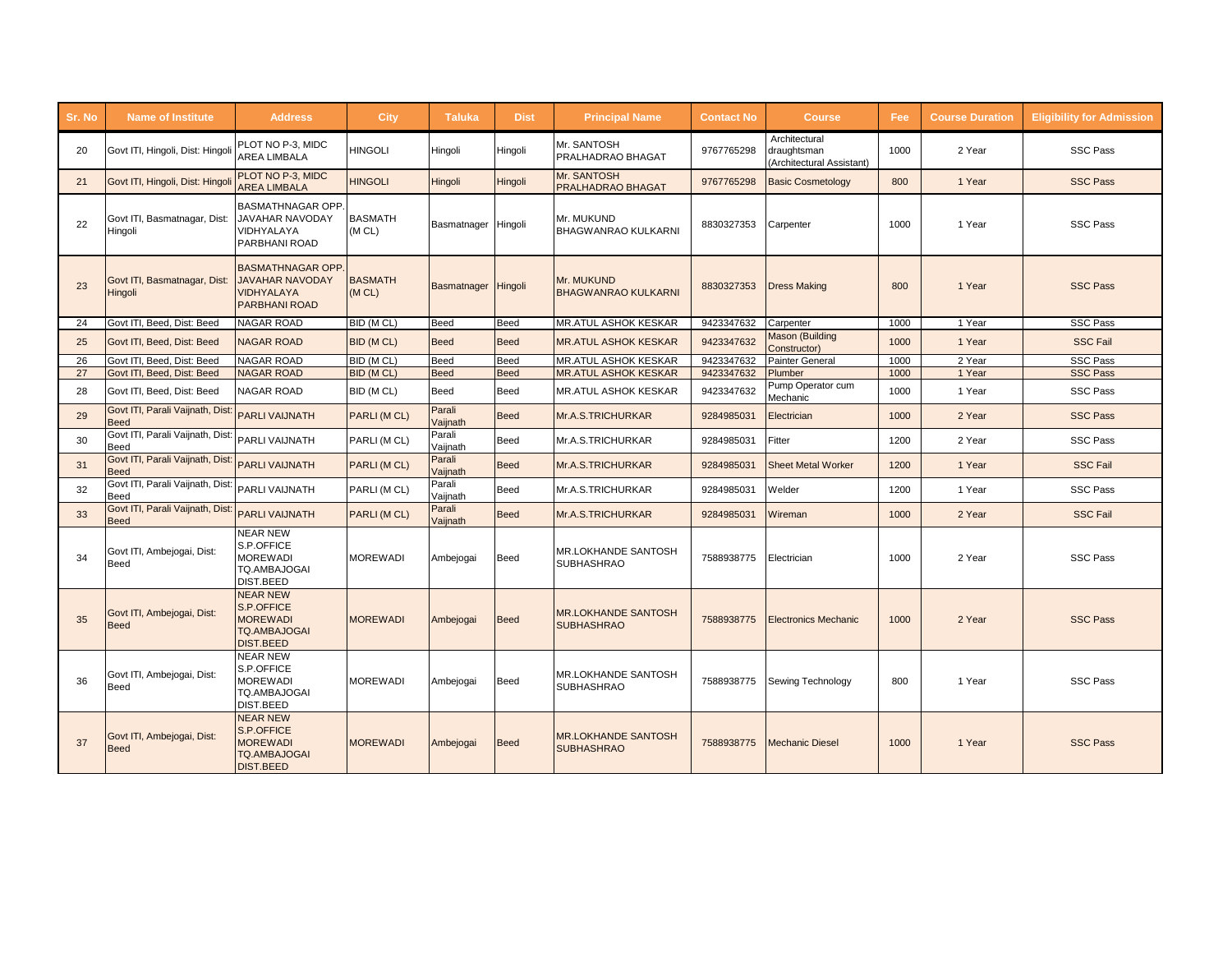| Sr. No | <b>Name of Institute</b>                        | <b>Address</b>                                                                                 | City                     | <b>Taluka</b>       | <b>Dist</b> | <b>Principal Name</b>                           | <b>Contact No</b> | <b>Course</b>                                             | Fee  | <b>Course Duration</b> | <b>Eligibility for Admission</b> |
|--------|-------------------------------------------------|------------------------------------------------------------------------------------------------|--------------------------|---------------------|-------------|-------------------------------------------------|-------------------|-----------------------------------------------------------|------|------------------------|----------------------------------|
| 20     | Govt ITI, Hingoli, Dist: Hingoli                | PLOT NO P-3. MIDC<br>AREA LIMBALA                                                              | <b>HINGOLI</b>           | Hingoli             | Hingoli     | Mr. SANTOSH<br><b>PRALHADRAO BHAGAT</b>         | 9767765298        | Architectural<br>draughtsman<br>(Architectural Assistant) | 1000 | 2 Year                 | <b>SSC Pass</b>                  |
| 21     | Govt ITI, Hingoli, Dist: Hingoli                | PLOT NO P-3. MIDC<br><b>AREA LIMBALA</b>                                                       | <b>HINGOLI</b>           | Hingoli             | Hingoli     | Mr. SANTOSH<br>PRALHADRAO BHAGAT                | 9767765298        | <b>Basic Cosmetology</b>                                  | 800  | 1 Year                 | <b>SSC Pass</b>                  |
| 22     | Govt ITI, Basmatnagar, Dist:<br>Hingoli         | <b>BASMATHNAGAR OPP</b><br>JAVAHAR NAVODAY<br>VIDHYALAYA<br>PARBHANI ROAD                      | <b>BASMATH</b><br>(M CL) | Basmatnager Hingoli |             | Mr. MUKUND<br><b>BHAGWANRAO KULKARNI</b>        | 8830327353        | Carpenter                                                 | 1000 | 1 Year                 | <b>SSC Pass</b>                  |
| 23     | Govt ITI, Basmatnagar, Dist:<br>Hingoli         | <b>BASMATHNAGAR OPP</b><br><b>JAVAHAR NAVODAY</b><br><b>VIDHYALAYA</b><br><b>PARBHANI ROAD</b> | <b>BASMATH</b><br>(M CL) | Basmatnager Hingoli |             | <b>Mr. MUKUND</b><br><b>BHAGWANRAO KULKARNI</b> | 8830327353        | <b>Dress Making</b>                                       | 800  | 1 Year                 | <b>SSC Pass</b>                  |
| 24     | Govt ITI, Beed, Dist: Beed                      | <b>NAGAR ROAD</b>                                                                              | BID (M CL)               | Beed                | Beed        | MR.ATUL ASHOK KESKAR                            | 9423347632        | Carpenter                                                 | 1000 | 1 Year                 | <b>SSC Pass</b>                  |
| 25     | Govt ITI, Beed, Dist: Beed                      | <b>NAGAR ROAD</b>                                                                              | BID (M CL)               | <b>Beed</b>         | <b>Beed</b> | <b>MR.ATUL ASHOK KESKAR</b>                     | 9423347632        | Mason (Building<br>Constructor)                           | 1000 | 1 Year                 | <b>SSC Fail</b>                  |
| 26     | Govt ITI, Beed, Dist: Beed                      | <b>NAGAR ROAD</b>                                                                              | BID (M CL)               | <b>Beed</b>         | Beed        | <b>MR.ATUL ASHOK KESKAR</b>                     | 9423347632        | Painter General                                           | 1000 | 2 Year                 | <b>SSC Pass</b>                  |
| 27     | Govt ITI, Beed, Dist: Beed                      | <b>NAGAR ROAD</b>                                                                              | BID (M CL)               | <b>Beed</b>         | <b>Beed</b> | <b>MR.ATUL ASHOK KESKAR</b>                     | 9423347632        | Plumber                                                   | 1000 | 1 Year                 | <b>SSC Pass</b>                  |
| 28     | Govt ITI, Beed, Dist: Beed                      | <b>NAGAR ROAD</b>                                                                              | BID (M CL)               | <b>Beed</b>         | <b>Beed</b> | MR.ATUL ASHOK KESKAR                            | 9423347632        | Pump Operator cum<br>Mechanic                             | 1000 | 1 Year                 | <b>SSC Pass</b>                  |
| 29     | Govt ITI, Parali Vaijnath, Dist:<br>Beed        | <b>PARLI VAIJNATH</b>                                                                          | PARLI (M CL)             | Parali<br>Vaijnath  | <b>Beed</b> | Mr.A.S.TRICHURKAR                               | 9284985031        | Electrician                                               | 1000 | 2 Year                 | <b>SSC Pass</b>                  |
| 30     | Govt ITI, Parali Vaijnath, Dist:<br>Beed        | PARLI VAIJNATH                                                                                 | PARLI (M CL)             | Parali<br>Vaijnath  | <b>Beed</b> | Mr.A.S.TRICHURKAR                               | 9284985031        | Fitter                                                    | 1200 | 2 Year                 | <b>SSC Pass</b>                  |
| 31     | Govt ITI, Parali Vaijnath, Dist:<br><b>Beed</b> | <b>PARLI VAIJNATH</b>                                                                          | PARLI (M CL)             | Parali<br>Vaijnath  | <b>Beed</b> | Mr.A.S.TRICHURKAR                               | 9284985031        | <b>Sheet Metal Worker</b>                                 | 1200 | 1 Year                 | <b>SSC Fail</b>                  |
| 32     | Govt ITI, Parali Vaijnath, Dist:<br>Beed        | PARLI VAIJNATH                                                                                 | PARLI (M CL)             | Parali<br>Vaijnath  | <b>Beed</b> | Mr.A.S.TRICHURKAR                               | 9284985031        | Welder                                                    | 1200 | 1 Year                 | <b>SSC Pass</b>                  |
| 33     | Govt ITI, Parali Vaijnath, Dist<br>Beed         | <b>PARLI VAIJNATH</b>                                                                          | PARLI (M CL)             | Parali<br>Vaijnath  | <b>Beed</b> | Mr.A.S.TRICHURKAR                               | 9284985031        | Wireman                                                   | 1000 | 2 Year                 | <b>SSC Fail</b>                  |
| 34     | Govt ITI, Ambejogai, Dist:<br>Beed              | <b>NEAR NEW</b><br>S.P.OFFICE<br><b>MOREWADI</b><br>TQ.AMBAJOGAI<br>DIST.BEED                  | <b>MOREWADI</b>          | Ambejogai           | <b>Beed</b> | <b>MR.LOKHANDE SANTOSH</b><br><b>SUBHASHRAO</b> | 7588938775        | Electrician                                               | 1000 | 2 Year                 | <b>SSC Pass</b>                  |
| 35     | Govt ITI, Ambejogai, Dist:<br><b>Beed</b>       | <b>NEAR NEW</b><br>S.P.OFFICE<br><b>MOREWADI</b><br><b>TO.AMBAJOGAI</b><br><b>DIST.BEED</b>    | <b>MOREWADI</b>          | Ambejogai           | Beed        | <b>MR.LOKHANDE SANTOSH</b><br><b>SUBHASHRAO</b> | 7588938775        | <b>Electronics Mechanic</b>                               | 1000 | 2 Year                 | <b>SSC Pass</b>                  |
| 36     | Govt ITI, Ambejogai, Dist:<br>Beed              | <b>NEAR NEW</b><br>S.P.OFFICE<br><b>MOREWADI</b><br>TQ.AMBAJOGAI<br>DIST.BEED                  | <b>MOREWADI</b>          | Ambejogai           | <b>Beed</b> | <b>MR.LOKHANDE SANTOSH</b><br><b>SUBHASHRAO</b> | 7588938775        | Sewing Technology                                         | 800  | 1 Year                 | <b>SSC Pass</b>                  |
| 37     | Govt ITI, Ambejogai, Dist:<br><b>Beed</b>       | <b>NEAR NEW</b><br>S.P.OFFICE<br><b>MOREWADI</b><br><b>TQ.AMBAJOGAI</b><br><b>DIST.BEED</b>    | <b>MOREWADI</b>          | Ambejogai           | Beed        | <b>MR.LOKHANDE SANTOSH</b><br><b>SUBHASHRAO</b> | 7588938775        | Mechanic Diesel                                           | 1000 | 1 Year                 | <b>SSC Pass</b>                  |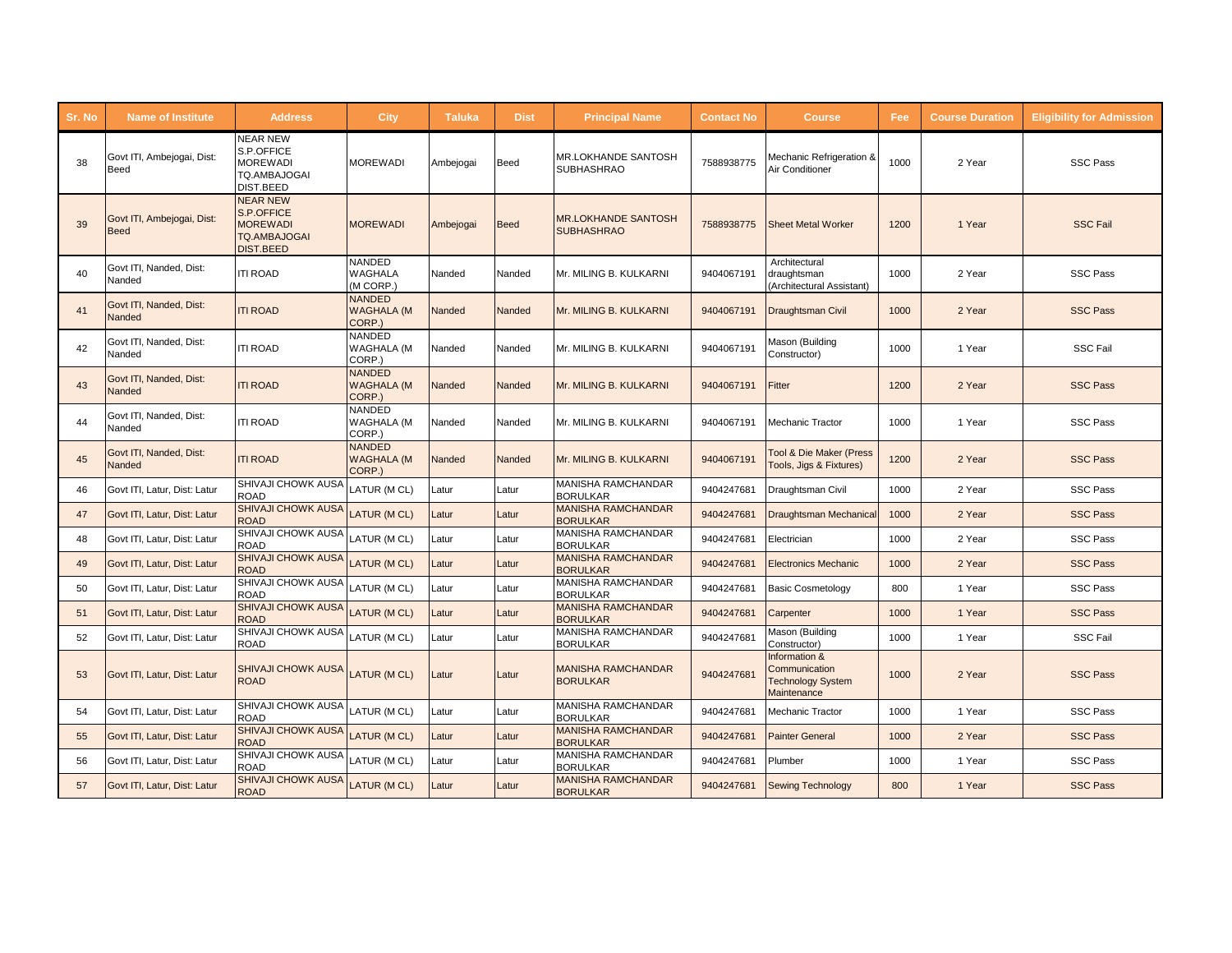| Sr. No | <b>Name of Institute</b>                  | <b>Address</b>                                                                              | <b>City</b>                                  | <b>Taluka</b> | <b>Dist</b> | <b>Principal Name</b>                           | <b>Contact No</b> | <b>Course</b>                                                             | Fee  | <b>Course Duration</b> | <b>Eligibility for Admission</b> |
|--------|-------------------------------------------|---------------------------------------------------------------------------------------------|----------------------------------------------|---------------|-------------|-------------------------------------------------|-------------------|---------------------------------------------------------------------------|------|------------------------|----------------------------------|
| 38     | Govt ITI, Ambejogai, Dist:<br>Beed        | <b>NEAR NEW</b><br>S.P.OFFICE<br><b>MOREWADI</b><br>TQ.AMBAJOGAI<br>DIST.BEED               | <b>MOREWADI</b>                              | Ambejogai     | Beed        | MR.LOKHANDE SANTOSH<br><b>SUBHASHRAO</b>        | 7588938775        | Mechanic Refrigeration &<br>Air Conditioner                               | 1000 | 2 Year                 | <b>SSC Pass</b>                  |
| 39     | Govt ITI, Ambejogai, Dist:<br><b>Beed</b> | <b>NEAR NEW</b><br>S.P.OFFICE<br><b>MOREWADI</b><br><b>TQ.AMBAJOGAI</b><br><b>DIST.BEED</b> | <b>MOREWADI</b>                              | Ambejogai     | <b>Beed</b> | <b>MR.LOKHANDE SANTOSH</b><br><b>SUBHASHRAO</b> | 7588938775        | Sheet Metal Worker                                                        | 1200 | 1 Year                 | <b>SSC Fail</b>                  |
| 40     | Govt ITI. Nanded. Dist:<br>Nanded         | <b>ITI ROAD</b>                                                                             | NANDED<br>WAGHALA<br>(M CORP.)               | Nanded        | Nanded      | Mr. MILING B. KULKARNI                          | 9404067191        | Architectural<br>draughtsman<br>(Architectural Assistant)                 | 1000 | 2 Year                 | <b>SSC Pass</b>                  |
| 41     | Govt ITI, Nanded, Dist:<br>Nanded         | <b>ITI ROAD</b>                                                                             | <b>NANDED</b><br><b>WAGHALA (M</b><br>CORP.) | Nanded        | Nanded      | Mr. MILING B. KULKARNI                          | 9404067191        | Draughtsman Civil                                                         | 1000 | 2 Year                 | <b>SSC Pass</b>                  |
| 42     | Govt ITI, Nanded, Dist:<br>Nanded         | <b>ITI ROAD</b>                                                                             | <b>NANDED</b><br><b>WAGHALA (M</b><br>CORP.) | Nanded        | Nanded      | Mr. MILING B. KULKARNI                          | 9404067191        | Mason (Building<br>Constructor)                                           | 1000 | 1 Year                 | <b>SSC Fail</b>                  |
| 43     | Govt ITI, Nanded, Dist:<br>Nanded         | <b>ITI ROAD</b>                                                                             | <b>NANDED</b><br><b>WAGHALA (M</b><br>CORP.) | Nanded        | Nanded      | Mr. MILING B. KULKARNI                          | 9404067191        | Fitter                                                                    | 1200 | 2 Year                 | <b>SSC Pass</b>                  |
| 44     | Govt ITI, Nanded, Dist:<br>Nanded         | <b>ITI ROAD</b>                                                                             | <b>NANDED</b><br><b>WAGHALA (M</b><br>CORP.) | Nanded        | Nanded      | Mr. MILING B. KULKARNI                          | 9404067191        | Mechanic Tractor                                                          | 1000 | 1 Year                 | <b>SSC Pass</b>                  |
| 45     | Govt ITI, Nanded, Dist:<br>Nanded         | <b>ITI ROAD</b>                                                                             | <b>NANDED</b><br><b>WAGHALA (M</b><br>CORP.) | Nanded        | Nanded      | Mr. MILING B. KULKARNI                          | 9404067191        | <b>Tool &amp; Die Maker (Press</b><br>Tools, Jigs & Fixtures)             | 1200 | 2 Year                 | <b>SSC Pass</b>                  |
| 46     | Govt ITI, Latur, Dist: Latur              | SHIVAJI CHOWK AUSA<br><b>ROAD</b>                                                           | LATUR (M CL)                                 | Latur         | Latur       | MANISHA RAMCHANDAR<br><b>BORULKAR</b>           | 9404247681        | Draughtsman Civil                                                         | 1000 | 2 Year                 | <b>SSC Pass</b>                  |
| 47     | Govt ITI, Latur, Dist: Latur              | <b>SHIVAJI CHOWK AUSA</b><br><b>ROAD</b>                                                    | LATUR (M CL)                                 | _atur         | Latur       | <b>MANISHA RAMCHANDAR</b><br><b>BORULKAR</b>    | 9404247681        | Draughtsman Mechanica                                                     | 1000 | 2 Year                 | <b>SSC Pass</b>                  |
| 48     | Govt ITI, Latur, Dist: Latur              | SHIVAJI CHOWK AUSA<br><b>ROAD</b>                                                           | LATUR (M CL)                                 | Latur         | Latur       | MANISHA RAMCHANDAR<br><b>BORULKAR</b>           | 9404247681        | Electrician                                                               | 1000 | 2 Year                 | <b>SSC Pass</b>                  |
| 49     | Govt ITI, Latur, Dist: Latur              | <b>SHIVAJI CHOWK AUSA</b><br><b>ROAD</b>                                                    | <b>LATUR (MCL)</b>                           | Latur         | Latur       | <b>MANISHA RAMCHANDAR</b><br><b>BORULKAR</b>    | 9404247681        | <b>Electronics Mechanic</b>                                               | 1000 | 2 Year                 | <b>SSC Pass</b>                  |
| 50     | Govt ITI, Latur, Dist: Latur              | SHIVAJI CHOWK AUSA<br><b>ROAD</b>                                                           | LATUR (M CL)                                 | Latur         | Latur       | <b>MANISHA RAMCHANDAR</b><br><b>BORULKAR</b>    | 9404247681        | <b>Basic Cosmetology</b>                                                  | 800  | 1 Year                 | <b>SSC Pass</b>                  |
| 51     | Govt ITI, Latur, Dist: Latur              | <b>SHIVAJI CHOWK AUSA</b><br><b>ROAD</b>                                                    | LATUR (MCL)                                  | _atur         | Latur       | <b>MANISHA RAMCHANDAR</b><br><b>BORULKAR</b>    | 9404247681        | Carpenter                                                                 | 1000 | 1 Year                 | <b>SSC Pass</b>                  |
| 52     | Govt ITI, Latur, Dist: Latur              | SHIVAJI CHOWK AUSA<br>ROAD                                                                  | LATUR (M CL)                                 | Latur         | Latur       | MANISHA RAMCHANDAR<br><b>BORULKAR</b>           | 9404247681        | Mason (Building<br>Constructor)                                           | 1000 | 1 Year                 | <b>SSC Fail</b>                  |
| 53     | Govt ITI, Latur, Dist: Latur              | SHIVAJI CHOWK AUSA<br><b>ROAD</b>                                                           | <b>LATUR (MCL)</b>                           | Latur         | Latur       | <b>MANISHA RAMCHANDAR</b><br><b>BORULKAR</b>    | 9404247681        | Information &<br>Communication<br><b>Technology System</b><br>Maintenance | 1000 | 2 Year                 | <b>SSC Pass</b>                  |
| 54     | Govt ITI, Latur, Dist: Latur              | SHIVAJI CHOWK AUSA<br><b>ROAD</b>                                                           | LATUR (M CL)                                 | Latur         | Latur       | MANISHA RAMCHANDAR<br><b>BORULKAR</b>           | 9404247681        | Mechanic Tractor                                                          | 1000 | 1 Year                 | <b>SSC Pass</b>                  |
| 55     | Govt ITI, Latur, Dist: Latur              | SHIVAJI CHOWK AUSA<br><b>ROAD</b>                                                           | LATUR (M CL)                                 | Latur         | Latur       | <b>MANISHA RAMCHANDAR</b><br><b>BORULKAR</b>    | 9404247681        | <b>Painter General</b>                                                    | 1000 | 2 Year                 | <b>SSC Pass</b>                  |
| 56     | Govt ITI, Latur, Dist: Latur              | SHIVAJI CHOWK AUSA<br>ROAD                                                                  | LATUR (M CL)                                 | _atur         | Latur       | MANISHA RAMCHANDAR<br><b>BORULKAR</b>           | 9404247681        | Plumber                                                                   | 1000 | 1 Year                 | <b>SSC Pass</b>                  |
| 57     | Govt ITI, Latur, Dist: Latur              | SHIVAJI CHOWK AUSA<br><b>ROAD</b>                                                           | LATUR (MCL)                                  | _atur         | Latur       | <b>MANISHA RAMCHANDAR</b><br><b>BORULKAR</b>    | 9404247681        | <b>Sewing Technology</b>                                                  | 800  | 1 Year                 | <b>SSC Pass</b>                  |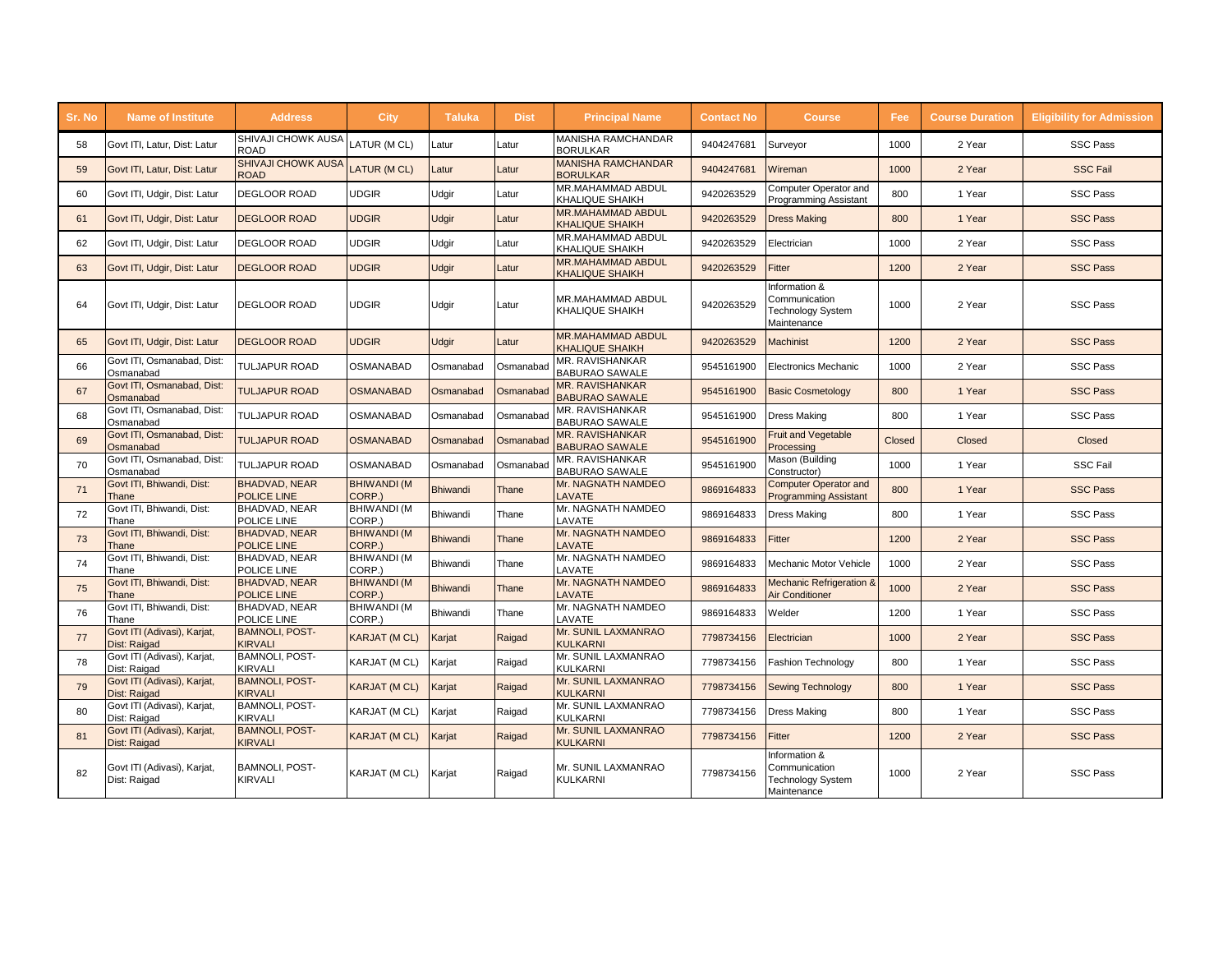| Sr. No | <b>Name of Institute</b>                    | <b>Address</b>                             | City                         | <b>Taluka</b>   | <b>Dist</b> | <b>Principal Name</b>                              | <b>Contact No</b> | <b>Course</b>                                                      | Fee    | <b>Course Duration</b> | <b>Eligibility for Admission</b> |
|--------|---------------------------------------------|--------------------------------------------|------------------------------|-----------------|-------------|----------------------------------------------------|-------------------|--------------------------------------------------------------------|--------|------------------------|----------------------------------|
| 58     | Govt ITI, Latur, Dist: Latur                | SHIVAJI CHOWK AUSA<br>ROAD                 | LATUR (M CL)                 | _atur           | _atur       | <b>MANISHA RAMCHANDAR</b><br><b>BORULKAR</b>       | 9404247681        | Surveyor                                                           | 1000   | 2 Year                 | <b>SSC Pass</b>                  |
| 59     | Govt ITI, Latur, Dist: Latur                | <b>SHIVAJI CHOWK AUSA</b><br><b>ROAD</b>   | LATUR (MCL)                  | _atur           | Latur       | <b>MANISHA RAMCHANDAR</b><br><b>BORULKAR</b>       | 9404247681        | Wireman                                                            | 1000   | 2 Year                 | <b>SSC Fail</b>                  |
| 60     | Govt ITI, Udgir, Dist: Latur                | <b>DEGLOOR ROAD</b>                        | <b>UDGIR</b>                 | Udgir           | Latur       | MR.MAHAMMAD ABDUL<br><b>KHALIQUE SHAIKH</b>        | 9420263529        | Computer Operator and<br><b>Programming Assistant</b>              | 800    | 1 Year                 | <b>SSC Pass</b>                  |
| 61     | Govt ITI, Udgir, Dist: Latur                | <b>DEGLOOR ROAD</b>                        | <b>UDGIR</b>                 | <b>Udgir</b>    | Latur       | <b>MR.MAHAMMAD ABDUL</b><br><b>KHALIQUE SHAIKH</b> | 9420263529        | <b>Dress Making</b>                                                | 800    | 1 Year                 | <b>SSC Pass</b>                  |
| 62     | Govt ITI, Udgir, Dist: Latur                | <b>DEGLOOR ROAD</b>                        | <b>UDGIR</b>                 | Udgir           | Latur       | MR.MAHAMMAD ABDUL<br><b>KHALIQUE SHAIKH</b>        | 9420263529        | Electrician                                                        | 1000   | 2 Year                 | <b>SSC Pass</b>                  |
| 63     | Govt ITI, Udgir, Dist: Latur                | <b>DEGLOOR ROAD</b>                        | <b>UDGIR</b>                 | <b>Udgir</b>    | Latur       | <b>MR.MAHAMMAD ABDUL</b><br><b>KHALIQUE SHAIKH</b> | 9420263529        | Fitter                                                             | 1200   | 2 Year                 | <b>SSC Pass</b>                  |
| 64     | Govt ITI, Udgir, Dist: Latur                | <b>DEGLOOR ROAD</b>                        | <b>UDGIR</b>                 | Udgir           | Latur       | MR.MAHAMMAD ABDUL<br><b>KHALIQUE SHAIKH</b>        | 9420263529        | Information &<br>Communication<br>Technology System<br>Maintenance | 1000   | 2 Year                 | <b>SSC Pass</b>                  |
| 65     | Govt ITI, Udgir, Dist: Latur                | <b>DEGLOOR ROAD</b>                        | <b>UDGIR</b>                 | <b>Udgir</b>    | Latur       | <b>MR.MAHAMMAD ABDUL</b><br><b>KHALIQUE SHAIKH</b> | 9420263529        | <b>Machinist</b>                                                   | 1200   | 2 Year                 | <b>SSC Pass</b>                  |
| 66     | Govt ITI, Osmanabad, Dist:<br>Osmanabad     | <b>TULJAPUR ROAD</b>                       | <b>OSMANABAD</b>             | Osmanabad       | Osmanabad   | MR. RAVISHANKAR<br><b>BABURAO SAWALE</b>           | 9545161900        | <b>Electronics Mechanic</b>                                        | 1000   | 2 Year                 | <b>SSC Pass</b>                  |
| 67     | Govt ITI, Osmanabad, Dist:<br>Osmanabad     | <b>TULJAPUR ROAD</b>                       | <b>OSMANABAD</b>             | Osmanabad       | Osmanabad   | <b>MR. RAVISHANKAR</b><br><b>BABURAO SAWALE</b>    | 9545161900        | <b>Basic Cosmetology</b>                                           | 800    | 1 Year                 | <b>SSC Pass</b>                  |
| 68     | Govt ITI, Osmanabad, Dist:<br>Osmanabad     | <b>TULJAPUR ROAD</b>                       | <b>OSMANABAD</b>             | Osmanabad       | Osmanabad   | MR. RAVISHANKAR<br><b>BABURAO SAWALE</b>           | 9545161900        | <b>Dress Making</b>                                                | 800    | 1 Year                 | <b>SSC Pass</b>                  |
| 69     | Govt ITI, Osmanabad, Dist:<br>Osmanabad     | <b>TULJAPUR ROAD</b>                       | <b>OSMANABAD</b>             | Osmanabad       | Osmanabad   | MR. RAVISHANKAR<br><b>BABURAO SAWALE</b>           | 9545161900        | <b>Fruit and Vegetable</b><br>Processing                           | Closed | Closed                 | Closed                           |
| 70     | Govt ITI, Osmanabad, Dist:<br>Osmanabad     | <b>TULJAPUR ROAD</b>                       | OSMANABAD                    | Osmanabad       | Osmanabad   | MR. RAVISHANKAR<br><b>BABURAO SAWALE</b>           | 9545161900        | Mason (Building<br>Constructor)                                    | 1000   | 1 Year                 | <b>SSC Fail</b>                  |
| 71     | Govt ITI, Bhiwandi, Dist:<br>Thane          | <b>BHADVAD, NEAR</b><br><b>POLICE LINE</b> | <b>BHIWANDI (M</b><br>CORP.) | <b>Bhiwandi</b> | Thane       | Mr. NAGNATH NAMDEO<br><b>LAVATE</b>                | 9869164833        | <b>Computer Operator and</b><br><b>Programming Assistant</b>       | 800    | 1 Year                 | <b>SSC Pass</b>                  |
| 72     | Govt ITI, Bhiwandi, Dist:<br>Thane          | BHADVAD, NEAR<br>POLICE LINE               | <b>BHIWANDI (M</b><br>CORP.) | <b>Bhiwandi</b> | Thane       | Mr. NAGNATH NAMDEO<br>LAVATE                       | 9869164833        | <b>Dress Making</b>                                                | 800    | 1 Year                 | <b>SSC Pass</b>                  |
| 73     | Govt ITI, Bhiwandi, Dist:<br>Thane          | <b>BHADVAD, NEAR</b><br>POLICE LINE        | <b>BHIWANDI (M</b><br>CORP.) | <b>Bhiwandi</b> | Thane       | Mr. NAGNATH NAMDEO<br>LAVATE                       | 9869164833        | Fitter                                                             | 1200   | 2 Year                 | <b>SSC Pass</b>                  |
| 74     | Govt ITI, Bhiwandi, Dist:<br>Thane          | BHADVAD, NEAR<br>POLICE LINE               | <b>BHIWANDI (M</b><br>CORP.) | <b>Bhiwandi</b> | Thane       | Mr. NAGNATH NAMDEO<br>LAVATE                       | 9869164833        | Mechanic Motor Vehicle                                             | 1000   | 2 Year                 | <b>SSC Pass</b>                  |
| 75     | Govt ITI, Bhiwandi, Dist:<br>Thane          | <b>BHADVAD, NEAR</b><br>POLICE LINE        | <b>BHIWANDI (M</b><br>CORP.) | <b>Bhiwandi</b> | Thane       | Mr. NAGNATH NAMDEO<br>LAVATE                       | 9869164833        | <b>Mechanic Refrigeration &amp;</b><br>Air Conditioner             | 1000   | 2 Year                 | <b>SSC Pass</b>                  |
| 76     | Govt ITI, Bhiwandi, Dist:<br>Thane          | BHADVAD, NEAR<br>POLICE LINE               | <b>BHIWANDI (M</b><br>CORP.) | Bhiwandi        | Thane       | Mr. NAGNATH NAMDEO<br>LAVATE                       | 9869164833        | Welder                                                             | 1200   | 1 Year                 | <b>SSC Pass</b>                  |
| 77     | Govt ITI (Adivasi), Karjat,<br>Dist: Raigad | <b>BAMNOLI, POST-</b><br><b>KIRVALI</b>    | <b>KARJAT (M CL)</b>         | Karjat          | Raigad      | Mr. SUNIL LAXMANRAO<br><b>KULKARNI</b>             | 7798734156        | Electrician                                                        | 1000   | 2 Year                 | <b>SSC Pass</b>                  |
| 78     | Govt ITI (Adivasi), Karjat,<br>Dist: Raigad | BAMNOLI, POST-<br><b>KIRVALI</b>           | KARJAT (M CL)                | Karjat          | Raigad      | Mr. SUNIL LAXMANRAO<br><b>KULKARNI</b>             | 7798734156        | <b>Fashion Technology</b>                                          | 800    | 1 Year                 | <b>SSC Pass</b>                  |
| 79     | Govt ITI (Adivasi), Karjat,<br>Dist: Raigad | <b>BAMNOLI, POST-</b><br><b>KIRVALI</b>    | <b>KARJAT (M CL)</b>         | Karjat          | Raigad      | Mr. SUNIL LAXMANRAO<br><b>KULKARNI</b>             | 7798734156        | <b>Sewing Technology</b>                                           | 800    | 1 Year                 | <b>SSC Pass</b>                  |
| 80     | Govt ITI (Adivasi), Karjat,<br>Dist: Raigad | <b>BAMNOLI, POST-</b><br><b>KIRVALI</b>    | KARJAT (M CL)                | Karjat          | Raigad      | Mr. SUNIL LAXMANRAO<br><b>KULKARNI</b>             | 7798734156        | <b>Dress Making</b>                                                | 800    | 1 Year                 | <b>SSC Pass</b>                  |
| 81     | Govt ITI (Adivasi), Karjat,<br>Dist: Raigad | <b>BAMNOLI, POST-</b><br><b>KIRVALI</b>    | <b>KARJAT (M CL)</b>         | <b>Karjat</b>   | Raigad      | Mr. SUNIL LAXMANRAO<br><b>KULKARNI</b>             | 7798734156        | Fitter                                                             | 1200   | 2 Year                 | <b>SSC Pass</b>                  |
| 82     | Govt ITI (Adivasi), Karjat,<br>Dist: Raigad | <b>BAMNOLI, POST-</b><br><b>KIRVALI</b>    | KARJAT (M CL)                | Karjat          | Raigad      | Mr. SUNIL LAXMANRAO<br>KULKARNI                    | 7798734156        | Information &<br>Communication<br>Technology System<br>Maintenance | 1000   | 2 Year                 | <b>SSC Pass</b>                  |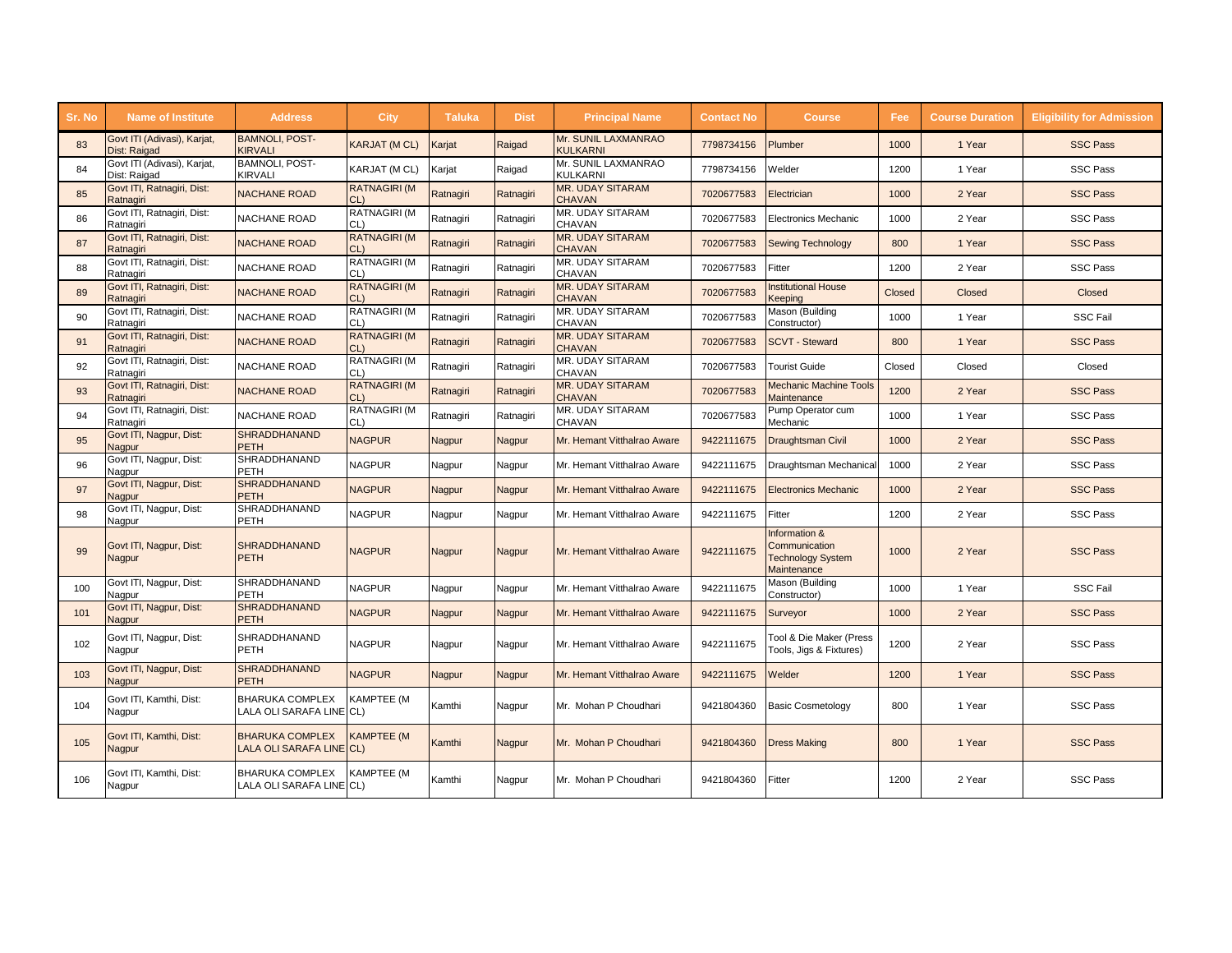| Sr. No | <b>Name of Institute</b>                    | <b>Address</b>                                     | <b>City</b>                | <b>Taluka</b> | <b>Dist</b> | <b>Principal Name</b>                    | <b>Contact No</b> | <b>Course</b>                                                             | Fee    | <b>Course Duration</b> | <b>Eligibility for Admission</b> |
|--------|---------------------------------------------|----------------------------------------------------|----------------------------|---------------|-------------|------------------------------------------|-------------------|---------------------------------------------------------------------------|--------|------------------------|----------------------------------|
| 83     | Govt ITI (Adivasi), Karjat,<br>Dist: Raigad | <b>BAMNOLI, POST-</b><br><b>KIRVALI</b>            | <b>KARJAT (M CL)</b>       | Karjat        | Raigad      | Mr. SUNIL LAXMANRAO<br><b>KULKARNI</b>   | 7798734156        | Plumber                                                                   | 1000   | 1 Year                 | <b>SSC Pass</b>                  |
| 84     | Govt ITI (Adivasi), Karjat,<br>Dist: Raigad | <b>BAMNOLI, POST-</b><br>KIRVALI                   | KARJAT (M CL)              | Karjat        | Raigad      | Mr. SUNIL LAXMANRAO<br><b>KULKARNI</b>   | 7798734156        | Welder                                                                    | 1200   | 1 Year                 | <b>SSC Pass</b>                  |
| 85     | Govt ITI, Ratnagiri, Dist:<br>Ratnagiri     | <b>NACHANE ROAD</b>                                | <b>RATNAGIRI (M</b><br>CL  | Ratnagiri     | Ratnagiri   | <b>MR. UDAY SITARAM</b><br><b>CHAVAN</b> | 7020677583        | Electrician                                                               | 1000   | 2 Year                 | <b>SSC Pass</b>                  |
| 86     | Govt ITI, Ratnagiri, Dist:<br>Ratnagiri     | NACHANE ROAD                                       | RATNAGIRI (M<br>CL)        | Ratnagiri     | Ratnagiri   | MR. UDAY SITARAM<br>CHAVAN               | 7020677583        | <b>Electronics Mechanic</b>                                               | 1000   | 2 Year                 | <b>SSC Pass</b>                  |
| 87     | Govt ITI, Ratnagiri, Dist:<br>Ratnagiri     | <b>NACHANE ROAD</b>                                | <b>RATNAGIRI (M</b><br>CL  | Ratnagiri     | Ratnagiri   | <b>MR. UDAY SITARAM</b><br><b>CHAVAN</b> | 7020677583        | <b>Sewing Technology</b>                                                  | 800    | 1 Year                 | <b>SSC Pass</b>                  |
| 88     | Govt ITI, Ratnagiri, Dist:<br>Ratnagiri     | <b>NACHANE ROAD</b>                                | RATNAGIRI (M<br>CL)        | Ratnagiri     | Ratnagiri   | MR. UDAY SITARAM<br><b>CHAVAN</b>        | 7020677583        | Fitter                                                                    | 1200   | 2 Year                 | <b>SSC Pass</b>                  |
| 89     | Govt ITI, Ratnagiri, Dist:<br>Ratnagiri     | <b>NACHANE ROAD</b>                                | <b>RATNAGIRI (M</b><br>CL  | Ratnagiri     | Ratnagiri   | <b>MR. UDAY SITARAM</b><br><b>CHAVAN</b> | 7020677583        | <b>Institutional House</b><br>Keeping                                     | Closed | Closed                 | Closed                           |
| 90     | Govt ITI, Ratnagiri, Dist:<br>Ratnagiri     | NACHANE ROAD                                       | RATNAGIRI (M<br>CL)        | Ratnagiri     | Ratnagiri   | MR. UDAY SITARAM<br>CHAVAN               | 7020677583        | Mason (Building<br>Constructor)                                           | 1000   | 1 Year                 | <b>SSC Fail</b>                  |
| 91     | Govt ITI, Ratnagiri, Dist:<br>Ratnagiri     | <b>NACHANE ROAD</b>                                | <b>RATNAGIRI (M</b><br>CL  | Ratnagiri     | Ratnagiri   | <b>MR. UDAY SITARAM</b><br><b>CHAVAN</b> | 7020677583        | <b>SCVT - Steward</b>                                                     | 800    | 1 Year                 | <b>SSC Pass</b>                  |
| 92     | Govt ITI, Ratnagiri, Dist:<br>Ratnagiri     | NACHANE ROAD                                       | RATNAGIRI (M<br>CL)        | Ratnagiri     | Ratnagiri   | MR. UDAY SITARAM<br>CHAVAN               | 7020677583        | <b>Tourist Guide</b>                                                      | Closed | Closed                 | Closed                           |
| 93     | Govt ITI, Ratnagiri, Dist:<br>Ratnagiri     | <b>NACHANE ROAD</b>                                | <b>RATNAGIRI (M</b><br>CL) | Ratnagiri     | Ratnagiri   | <b>MR. UDAY SITARAM</b><br><b>CHAVAN</b> | 7020677583        | <b>Mechanic Machine Tools</b><br>Maintenance                              | 1200   | 2 Year                 | <b>SSC Pass</b>                  |
| 94     | Govt ITI, Ratnagiri, Dist:<br>Ratnagiri     | <b>NACHANE ROAD</b>                                | RATNAGIRI (M<br>CL)        | Ratnagiri     | Ratnagiri   | MR. UDAY SITARAM<br>CHAVAN               | 7020677583        | Pump Operator cum<br>Mechanic                                             | 1000   | 1 Year                 | <b>SSC Pass</b>                  |
| 95     | Govt ITI, Nagpur, Dist:<br><b>Nagpur</b>    | <b>SHRADDHANAND</b><br><b>PETH</b>                 | <b>NAGPUR</b>              | Nagpur        | Nagpur      | Mr. Hemant Vitthalrao Aware              | 9422111675        | <b>Draughtsman Civil</b>                                                  | 1000   | 2 Year                 | <b>SSC Pass</b>                  |
| 96     | Govt ITI, Nagpur, Dist:<br>Nagpur           | SHRADDHANAND<br>PETH                               | <b>NAGPUR</b>              | Nagpur        | Nagpur      | Mr. Hemant Vitthalrao Aware              | 9422111675        | Draughtsman Mechanical                                                    | 1000   | 2 Year                 | <b>SSC Pass</b>                  |
| 97     | Govt ITI, Nagpur, Dist:<br><b>Nagpur</b>    | SHRADDHANAND<br><b>PETH</b>                        | <b>NAGPUR</b>              | <b>Nagpur</b> | Nagpur      | Mr. Hemant Vitthalrao Aware              | 9422111675        | <b>Electronics Mechanic</b>                                               | 1000   | 2 Year                 | <b>SSC Pass</b>                  |
| 98     | Govt ITI, Nagpur, Dist:<br>Nagpur           | SHRADDHANAND<br>PETH                               | <b>NAGPUR</b>              | Nagpur        | Nagpur      | Mr. Hemant Vitthalrao Aware              | 9422111675        | Fitter                                                                    | 1200   | 2 Year                 | <b>SSC Pass</b>                  |
| 99     | Govt ITI, Nagpur, Dist:<br>Nagpur           | SHRADDHANAND<br><b>PETH</b>                        | <b>NAGPUR</b>              | Nagpur        | Nagpur      | Mr. Hemant Vitthalrao Aware              | 9422111675        | Information &<br>Communication<br><b>Technology System</b><br>Maintenance | 1000   | 2 Year                 | <b>SSC Pass</b>                  |
| 100    | Govt ITI, Nagpur, Dist:<br>Nagpur           | SHRADDHANAND<br>PETH                               | <b>NAGPUR</b>              | Nagpur        | Nagpur      | Mr. Hemant Vitthalrao Aware              | 9422111675        | Mason (Building<br>Constructor)                                           | 1000   | 1 Year                 | <b>SSC Fail</b>                  |
| 101    | Govt ITI, Nagpur, Dist:<br>Nagpur           | <b>SHRADDHANAND</b><br><b>PETH</b>                 | <b>NAGPUR</b>              | Nagpur        | Nagpur      | Mr. Hemant Vitthalrao Aware              | 9422111675        | Surveyor                                                                  | 1000   | 2 Year                 | <b>SSC Pass</b>                  |
| 102    | Govt ITI, Nagpur, Dist:<br>Nagpur           | SHRADDHANAND<br>PETH                               | <b>NAGPUR</b>              | Nagpur        | Nagpur      | Mr. Hemant Vitthalrao Aware              | 9422111675        | Tool & Die Maker (Press<br>Tools, Jigs & Fixtures)                        | 1200   | 2 Year                 | <b>SSC Pass</b>                  |
| 103    | Govt ITI, Nagpur, Dist:<br><b>Nagpur</b>    | <b>SHRADDHANAND</b><br><b>PETH</b>                 | <b>NAGPUR</b>              | Nagpur        | Nagpur      | Mr. Hemant Vitthalrao Aware              | 9422111675        | Welder                                                                    | 1200   | 1 Year                 | <b>SSC Pass</b>                  |
| 104    | Govt ITI, Kamthi, Dist:<br>Nagpur           | <b>BHARUKA COMPLEX</b><br>LALA OLI SARAFA LINE CL) | KAMPTEE (M                 | Kamthi        | Nagpur      | Mr. Mohan P Choudhari                    | 9421804360        | <b>Basic Cosmetology</b>                                                  | 800    | 1 Year                 | <b>SSC Pass</b>                  |
| 105    | Govt ITI, Kamthi, Dist:<br>Nagpur           | <b>BHARUKA COMPLEX</b><br>LALA OLI SARAFA LINE CL) | <b>KAMPTEE (M</b>          | Kamthi        | Nagpur      | Mr. Mohan P Choudhari                    | 9421804360        | <b>Dress Making</b>                                                       | 800    | 1 Year                 | <b>SSC Pass</b>                  |
| 106    | Govt ITI, Kamthi, Dist:<br>Nagpur           | <b>BHARUKA COMPLEX</b><br>LALA OLI SARAFA LINE CL) | <b>KAMPTEE (M</b>          | Kamthi        | Nagpur      | Mr. Mohan P Choudhari                    | 9421804360        | Fitter                                                                    | 1200   | 2 Year                 | <b>SSC Pass</b>                  |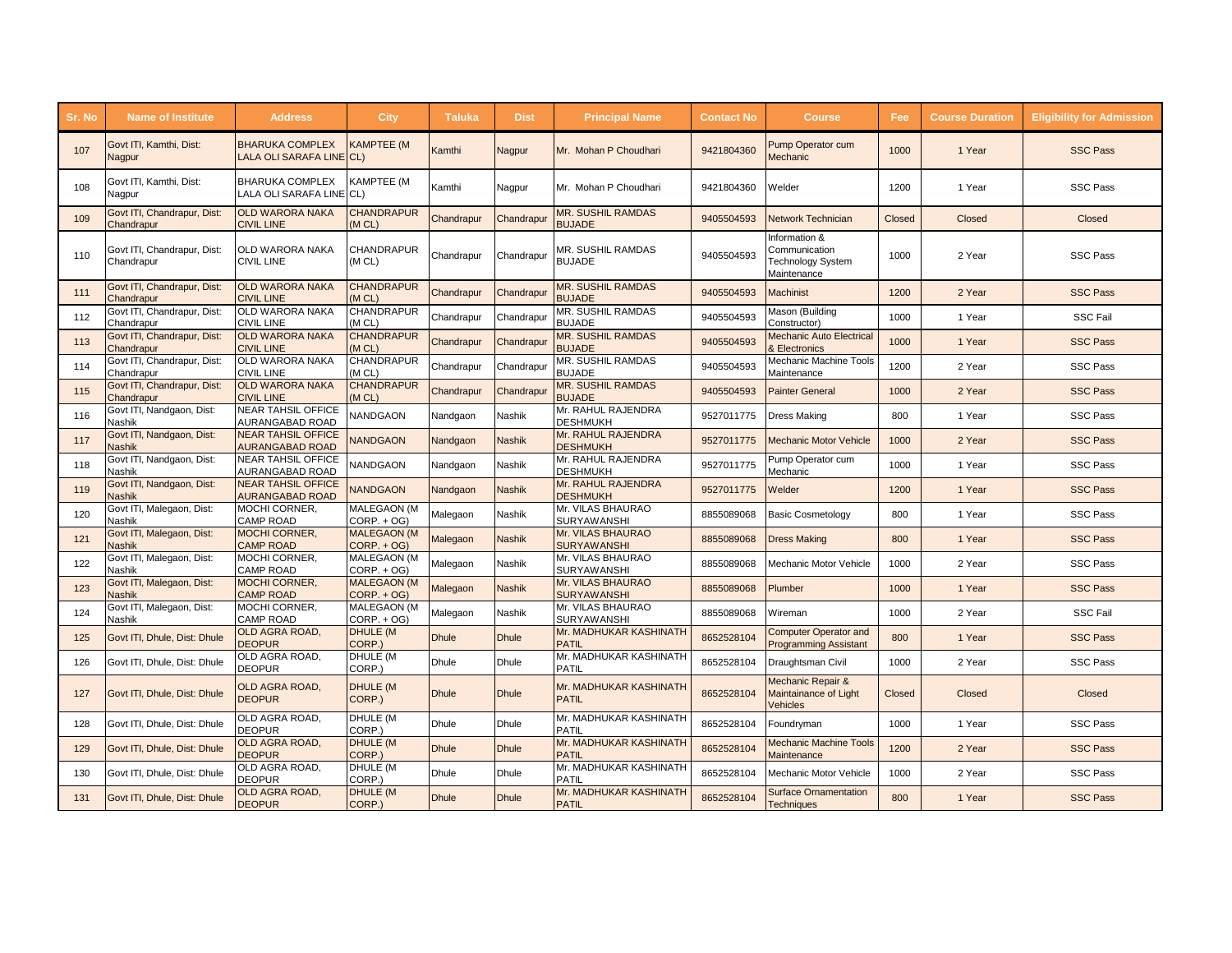| Sr. No | <b>Name of Institute</b>                   | <b>Address</b>                                      | City                                | Taluka       | <b>Dist</b>   | <b>Principal Name</b>                     | <b>Contact No</b> | <b>Course</b>                                                      | Fee    | <b>Course Duration</b> | <b>Eligibility for Admission</b> |
|--------|--------------------------------------------|-----------------------------------------------------|-------------------------------------|--------------|---------------|-------------------------------------------|-------------------|--------------------------------------------------------------------|--------|------------------------|----------------------------------|
| 107    | Govt ITI, Kamthi, Dist:<br>Nagpur          | <b>BHARUKA COMPLEX</b><br>LALA OLI SARAFA LINE CL)  | <b>KAMPTEE (M</b>                   | Kamthi       | Nagpur        | Mr. Mohan P Choudhari                     | 9421804360        | Pump Operator cum<br>Mechanic                                      | 1000   | 1 Year                 | <b>SSC Pass</b>                  |
| 108    | Govt ITI, Kamthi, Dist:<br>Nagpur          | <b>BHARUKA COMPLEX</b><br>LALA OLI SARAFA LINE CL)  | <b>KAMPTEE (M</b>                   | Kamthi       | Nagpur        | Mr. Mohan P Choudhari                     | 9421804360        | Welder                                                             | 1200   | 1 Year                 | <b>SSC Pass</b>                  |
| 109    | Govt ITI, Chandrapur, Dist:<br>Chandrapur  | <b>OLD WARORA NAKA</b><br><b>CIVIL LINE</b>         | <b>CHANDRAPUR</b><br>(M CL)         | Chandrapur   | Chandrapur    | <b>MR. SUSHIL RAMDAS</b><br><b>BUJADE</b> | 9405504593        | Network Technician                                                 | Closed | Closed                 | Closed                           |
| 110    | Govt ITI, Chandrapur, Dist:<br>Chandrapur  | OLD WARORA NAKA<br><b>CIVIL LINE</b>                | CHANDRAPUR<br>(M CL)                | Chandrapur   | Chandrapur    | MR. SUSHIL RAMDAS<br><b>BUJADE</b>        | 9405504593        | Information &<br>Communication<br>Technology System<br>Maintenance | 1000   | 2 Year                 | <b>SSC Pass</b>                  |
| 111    | Govt ITI, Chandrapur, Dist:<br>Chandrapur  | <b>OLD WARORA NAKA</b><br><b>CIVIL LINE</b>         | <b>CHANDRAPUR</b><br>(M CL)         | Chandrapur   | Chandrapur    | <b>MR. SUSHIL RAMDAS</b><br><b>BUJADE</b> | 9405504593        | <b>Machinist</b>                                                   | 1200   | 2 Year                 | <b>SSC Pass</b>                  |
| 112    | Govt ITI, Chandrapur, Dist:<br>Chandrapur  | <b>OLD WARORA NAKA</b><br><b>CIVIL LINE</b>         | CHANDRAPUR<br>(M CL)                | Chandrapur   | Chandrapur    | MR. SUSHIL RAMDAS<br><b>BUJADE</b>        | 9405504593        | Mason (Building<br>Constructor)                                    | 1000   | 1 Year                 | <b>SSC Fail</b>                  |
| 113    | Govt ITI, Chandrapur, Dist:<br>Chandrapur  | <b>OLD WARORA NAKA</b><br><b>CIVIL LINE</b>         | <b>CHANDRAPUR</b><br>(MCL)          | Chandrapur   | Chandrapur    | <b>MR. SUSHIL RAMDAS</b><br><b>BUJADE</b> | 9405504593        | <b>Mechanic Auto Electrical</b><br>& Electronics                   | 1000   | 1 Year                 | <b>SSC Pass</b>                  |
| 114    | Govt ITI, Chandrapur, Dist:<br>Chandrapur  | OLD WARORA NAKA<br><b>CIVIL LINE</b>                | CHANDRAPUR<br>(M CL)                | Chandrapur   | Chandrapur    | MR. SUSHIL RAMDAS<br><b>BUJADE</b>        | 9405504593        | Mechanic Machine Tools<br>Maintenance                              | 1200   | 2 Year                 | <b>SSC Pass</b>                  |
| 115    | Govt ITI, Chandrapur, Dist:<br>Chandrapur  | <b>OLD WARORA NAKA</b><br><b>CIVIL LINE</b>         | <b>CHANDRAPUR</b><br>(M CL)         | Chandrapur   | Chandrapur    | <b>MR. SUSHIL RAMDAS</b><br><b>BUJADE</b> | 9405504593        | <b>Painter General</b>                                             | 1000   | 2 Year                 | <b>SSC Pass</b>                  |
| 116    | Govt ITI, Nandgaon, Dist:<br>Nashik        | <b>NEAR TAHSIL OFFICE</b><br>AURANGABAD ROAD        | <b>VANDGAON</b>                     | Nandgaon     | Nashik        | Mr. RAHUL RAJENDRA<br><b>DESHMUKH</b>     | 9527011775        | Dress Making                                                       | 800    | 1 Year                 | <b>SSC Pass</b>                  |
| 117    | Govt ITI, Nandgaon, Dist:<br><b>Nashik</b> | <b>NEAR TAHSIL OFFICE</b><br><b>AURANGABAD ROAD</b> | <b>VANDGAON</b>                     | Nandgaon     | <b>Nashik</b> | Mr. RAHUL RAJENDRA<br><b>DESHMUKH</b>     | 9527011775        | <b>Mechanic Motor Vehicle</b>                                      | 1000   | 2 Year                 | <b>SSC Pass</b>                  |
| 118    | Govt ITI, Nandgaon, Dist:<br>Nashik        | <b>NEAR TAHSIL OFFICE</b><br>AURANGABAD ROAD        | <b>VANDGAON</b>                     | Nandgaon     | Nashik        | Mr. RAHUL RAJENDRA<br><b>DESHMUKH</b>     | 9527011775        | Pump Operator cum<br>Mechanic                                      | 1000   | 1 Year                 | <b>SSC Pass</b>                  |
| 119    | Govt ITI, Nandgaon, Dist:<br><b>Nashik</b> | <b>NEAR TAHSIL OFFICE</b><br><b>AURANGABAD ROAD</b> | <b>NANDGAON</b>                     | Nandgaon     | <b>Nashik</b> | Mr. RAHUL RAJENDRA<br><b>DESHMUKH</b>     | 9527011775        | Welder                                                             | 1200   | 1 Year                 | <b>SSC Pass</b>                  |
| 120    | Govt ITI, Malegaon, Dist:<br>Nashik        | MOCHI CORNER,<br><b>CAMP ROAD</b>                   | MALEGAON (M<br>$CORP. + OG$         | Malegaon     | Nashik        | Mr. VILAS BHAURAO<br>SURYAWANSHI          | 8855089068        | <b>Basic Cosmetology</b>                                           | 800    | 1 Year                 | <b>SSC Pass</b>                  |
| 121    | Govt ITI, Malegaon, Dist:<br><b>Nashik</b> | MOCHI CORNER,<br><b>CAMP ROAD</b>                   | <b>MALEGAON (M</b><br>$CORP. + OG)$ | Malegaon     | <b>Nashik</b> | Mr. VILAS BHAURAO<br><b>SURYAWANSHI</b>   | 8855089068        | <b>Dress Making</b>                                                | 800    | 1 Year                 | <b>SSC Pass</b>                  |
| 122    | Govt ITI, Malegaon, Dist:<br>Nashik        | MOCHI CORNER.<br><b>CAMP ROAD</b>                   | MALEGAON (M<br>$CORP. + OG$         | Malegaon     | Nashik        | Mr. VILAS BHAURAO<br><b>SURYAWANSHI</b>   | 8855089068        | Mechanic Motor Vehicle                                             | 1000   | 2 Year                 | <b>SSC Pass</b>                  |
| 123    | Govt ITI, Malegaon, Dist:<br>Nashik        | <b>MOCHI CORNER,</b><br><b>CAMP ROAD</b>            | <b>MALEGAON (M</b><br>$CORP. + OG$  | Malegaon     | <b>Nashik</b> | Mr. VILAS BHAURAO<br><b>SURYAWANSHI</b>   | 8855089068        | Plumber                                                            | 1000   | 1 Year                 | <b>SSC Pass</b>                  |
| 124    | Govt ITI, Malegaon, Dist:<br>Nashik        | MOCHI CORNER.<br><b>CAMP ROAD</b>                   | MALEGAON (M<br>$CORP. + OG$         | Malegaon     | <b>Nashik</b> | Mr. VILAS BHAURAO<br><b>SURYAWANSHI</b>   | 8855089068        | Wireman                                                            | 1000   | 2 Year                 | <b>SSC Fail</b>                  |
| 125    | Govt ITI, Dhule, Dist: Dhule               | OLD AGRA ROAD,<br><b>DEOPUR</b>                     | DHULE (M<br>CORP.)                  | <b>Dhule</b> | <b>Dhule</b>  | Mr. MADHUKAR KASHINATH<br><b>PATIL</b>    | 8652528104        | <b>Computer Operator and</b><br><b>Programming Assistant</b>       | 800    | 1 Year                 | <b>SSC Pass</b>                  |
| 126    | Govt ITI, Dhule, Dist: Dhule               | OLD AGRA ROAD,<br><b>DEOPUR</b>                     | DHULE (M<br>CORP.)                  | <b>Dhule</b> | <b>Dhule</b>  | Mr. MADHUKAR KASHINATH<br><b>PATIL</b>    | 8652528104        | Draughtsman Civil                                                  | 1000   | 2 Year                 | <b>SSC Pass</b>                  |
| 127    | Govt ITI, Dhule, Dist: Dhule               | OLD AGRA ROAD,<br><b>DEOPUR</b>                     | <b>DHULE (M</b><br>CORP.)           | <b>Dhule</b> | <b>Dhule</b>  | Mr. MADHUKAR KASHINATH<br><b>PATIL</b>    | 8652528104        | Mechanic Repair &<br>Maintainance of Light<br>Vehicles             | Closed | Closed                 | <b>Closed</b>                    |
| 128    | Govt ITI, Dhule, Dist: Dhule               | OLD AGRA ROAD,<br><b>DEOPUR</b>                     | DHULE (M<br>CORP.)                  | <b>Dhule</b> | Dhule         | Mr. MADHUKAR KASHINATH<br>PATIL           | 8652528104        | Foundryman                                                         | 1000   | 1 Year                 | <b>SSC Pass</b>                  |
| 129    | Govt ITI, Dhule, Dist: Dhule               | OLD AGRA ROAD,<br><b>DEOPUR</b>                     | <b>DHULE (M</b><br>CORP.)           | <b>Dhule</b> | <b>Dhule</b>  | Mr. MADHUKAR KASHINATH<br><b>PATIL</b>    | 8652528104        | <b>Mechanic Machine Tools</b><br>Maintenance                       | 1200   | 2 Year                 | <b>SSC Pass</b>                  |
| 130    | Govt ITI, Dhule, Dist: Dhule               | OLD AGRA ROAD,<br><b>DEOPUR</b>                     | DHULE (M<br>CORP.)                  | <b>Dhule</b> | <b>Dhule</b>  | Mr. MADHUKAR KASHINATH<br><b>PATIL</b>    | 8652528104        | Mechanic Motor Vehicle                                             | 1000   | 2 Year                 | <b>SSC Pass</b>                  |
| 131    | Govt ITI, Dhule, Dist: Dhule               | OLD AGRA ROAD,<br><b>DEOPUR</b>                     | <b>DHULE (M</b><br>CORP.)           | <b>Dhule</b> | <b>Dhule</b>  | Mr. MADHUKAR KASHINATH<br><b>PATIL</b>    | 8652528104        | <b>Surface Ornamentation</b><br><b>Techniques</b>                  | 800    | 1 Year                 | <b>SSC Pass</b>                  |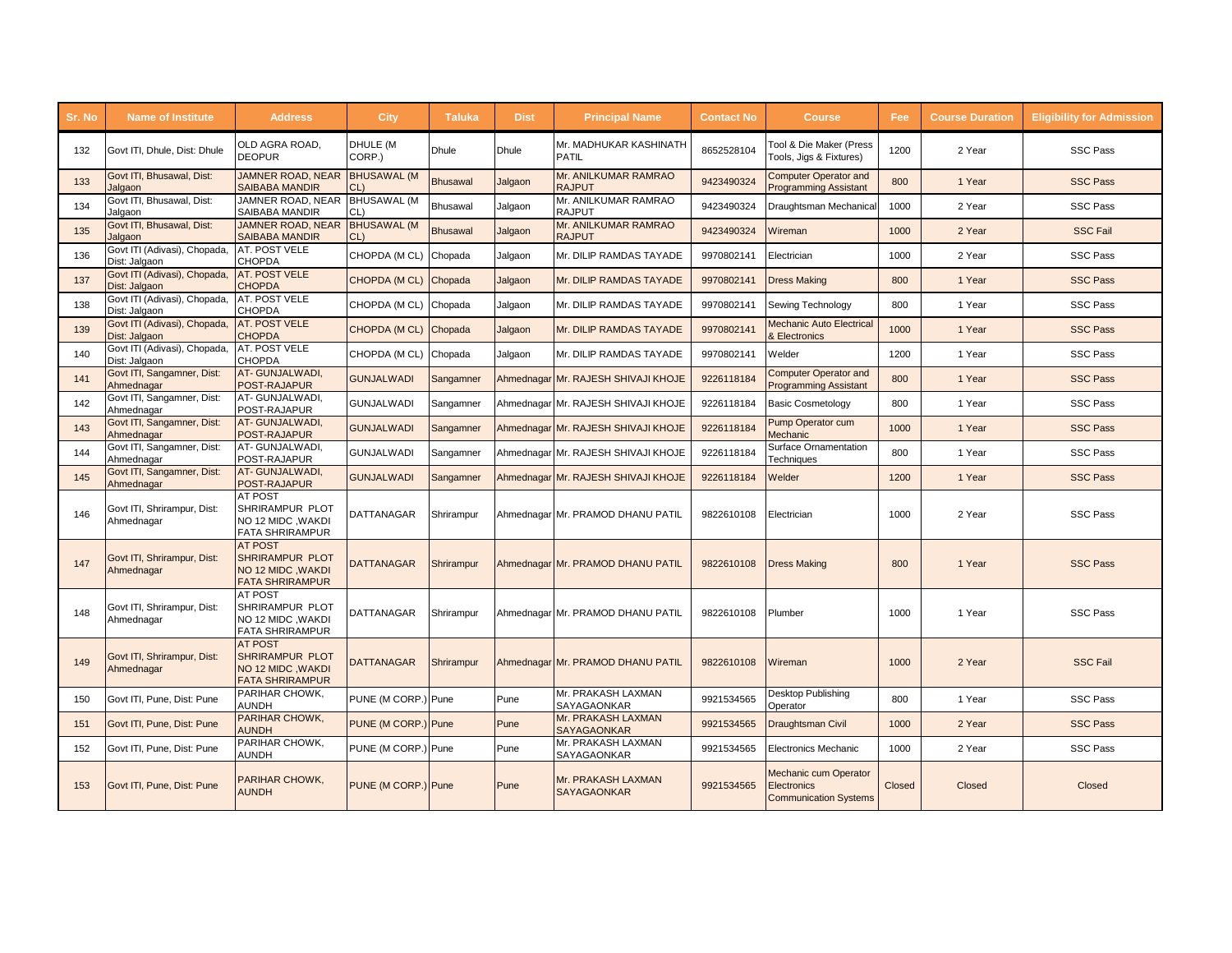| Sr. No | <b>Name of Institute</b>                      | <b>Address</b>                                                                          | <b>City</b>               | <b>Taluka</b>   | <b>Dist</b> | <b>Principal Name</b>                    | <b>Contact No</b> | <b>Course</b>                                                                      | Fee:   | <b>Course Duration</b> | <b>Eligibility for Admission</b> |
|--------|-----------------------------------------------|-----------------------------------------------------------------------------------------|---------------------------|-----------------|-------------|------------------------------------------|-------------------|------------------------------------------------------------------------------------|--------|------------------------|----------------------------------|
| 132    | Govt ITI, Dhule, Dist: Dhule                  | OLD AGRA ROAD,<br><b>DEOPUR</b>                                                         | DHULE (M<br>CORP.)        | <b>Dhule</b>    | Dhule       | Mr. MADHUKAR KASHINATH<br><b>PATIL</b>   | 8652528104        | <b>Tool &amp; Die Maker (Press</b><br>Tools, Jigs & Fixtures)                      | 1200   | 2 Year                 | <b>SSC Pass</b>                  |
| 133    | Govt ITI, Bhusawal, Dist:<br>Jalgaon          | <b>JAMNER ROAD, NEAR</b><br><b>SAIBABA MANDIR</b>                                       | <b>BHUSAWAL (M</b><br>CL) | <b>Bhusawal</b> | Jalgaon     | Mr. ANILKUMAR RAMRAO<br><b>RAJPUT</b>    | 9423490324        | <b>Computer Operator and</b><br>Programming Assistant                              | 800    | 1 Year                 | <b>SSC Pass</b>                  |
| 134    | Govt ITI, Bhusawal, Dist:<br>Jalgaon          | JAMNER ROAD, NEAR<br>SAIBABA MANDIR                                                     | <b>BHUSAWAL (M</b><br>CL) | Bhusawal        | Jalgaon     | Mr. ANILKUMAR RAMRAO<br><b>RAJPUT</b>    | 9423490324        | Draughtsman Mechanical                                                             | 1000   | 2 Year                 | <b>SSC Pass</b>                  |
| 135    | Govt ITI, Bhusawal, Dist:<br>Jalgaon          | JAMNER ROAD, NEAR<br><b>SAIBABA MANDIR</b>                                              | <b>BHUSAWAL (M</b><br>CL  | <b>Bhusawal</b> | Jalgaon     | Mr. ANILKUMAR RAMRAO<br><b>RAJPUT</b>    | 9423490324        | Wireman                                                                            | 1000   | 2 Year                 | <b>SSC Fail</b>                  |
| 136    | Govt ITI (Adivasi), Chopada,<br>Dist: Jalgaon | AT. POST VELE<br><b>CHOPDA</b>                                                          | CHOPDA (M CL)             | Chopada         | Jalgaon     | Mr. DILIP RAMDAS TAYADE                  | 9970802141        | Electrician                                                                        | 1000   | 2 Year                 | <b>SSC Pass</b>                  |
| 137    | Govt ITI (Adivasi), Chopada,<br>Dist: Jalgaon | <b>AT. POST VELE</b><br><b>CHOPDA</b>                                                   | <b>CHOPDA (M CL)</b>      | Chopada         | Jalgaon     | Mr. DILIP RAMDAS TAYADE                  | 9970802141        | <b>Dress Making</b>                                                                | 800    | 1 Year                 | <b>SSC Pass</b>                  |
| 138    | Govt ITI (Adivasi), Chopada,<br>Dist: Jalgaon | AT. POST VELE<br><b>CHOPDA</b>                                                          | CHOPDA (M CL)             | Chopada         | Jalgaon     | Mr. DILIP RAMDAS TAYADE                  | 9970802141        | Sewing Technology                                                                  | 800    | 1 Year                 | <b>SSC Pass</b>                  |
| 139    | Govt ITI (Adivasi), Chopada,<br>Dist: Jalgaon | <b>AT. POST VELE</b><br><b>CHOPDA</b>                                                   | CHOPDA (MCL)              | Chopada         | Jalgaon     | Mr. DILIP RAMDAS TAYADE                  | 9970802141        | <b>Mechanic Auto Electrical</b><br>& Electronics                                   | 1000   | 1 Year                 | <b>SSC Pass</b>                  |
| 140    | Govt ITI (Adivasi), Chopada,<br>Dist: Jalgaon | AT. POST VELE<br><b>CHOPDA</b>                                                          | CHOPDA (M CL)             | Chopada         | Jalgaon     | Mr. DILIP RAMDAS TAYADE                  | 9970802141        | Welder                                                                             | 1200   | 1 Year                 | <b>SSC Pass</b>                  |
| 141    | Govt ITI, Sangamner, Dist:<br>Ahmednagar      | AT-GUNJALWADI,<br>POST-RAJAPUR                                                          | <b>GUNJALWADI</b>         | Sangamner       |             | Ahmednagar Mr. RAJESH SHIVAJI KHOJE      | 9226118184        | <b>Computer Operator and</b><br><b>Programming Assistant</b>                       | 800    | 1 Year                 | <b>SSC Pass</b>                  |
| 142    | Govt ITI, Sangamner, Dist:<br>Ahmednagar      | AT- GUNJALWADI.<br>POST-RAJAPUR                                                         | <b>GUNJALWADI</b>         | Sangamner       |             | Ahmednagar Mr. RAJESH SHIVAJI KHOJE      | 9226118184        | <b>Basic Cosmetology</b>                                                           | 800    | 1 Year                 | <b>SSC Pass</b>                  |
| 143    | Govt ITI, Sangamner, Dist:<br>Ahmednagar      | AT-GUNJALWADI,<br>POST-RAJAPUR                                                          | <b>GUNJALWADI</b>         | Sangamner       |             | Ahmednagar Mr. RAJESH SHIVAJI KHOJE      | 9226118184        | Pump Operator cum<br>Mechanic                                                      | 1000   | 1 Year                 | <b>SSC Pass</b>                  |
| 144    | Govt ITI, Sangamner, Dist:<br>Ahmednagar      | AT- GUNJALWADI,<br>POST-RAJAPUR                                                         | <b>GUNJALWADI</b>         | Sangamner       |             | Ahmednagar Mr. RAJESH SHIVAJI KHOJE      | 9226118184        | Surface Ornamentation<br>Techniques                                                | 800    | 1 Year                 | <b>SSC Pass</b>                  |
| 145    | Govt ITI, Sangamner, Dist:<br>Ahmednagar      | AT-GUNJALWADI,<br>POST-RAJAPUR                                                          | <b>GUNJALWADI</b>         | Sangamner       |             | Ahmednagar Mr. RAJESH SHIVAJI KHOJE      | 9226118184        | Welder                                                                             | 1200   | 1 Year                 | <b>SSC Pass</b>                  |
| 146    | Govt ITI, Shrirampur, Dist:<br>Ahmednagar     | AT POST<br>SHRIRAMPUR PLOT<br>NO 12 MIDC, WAKDI<br><b>FATA SHRIRAMPUR</b>               | <b>DATTANAGAR</b>         | Shrirampur      |             | Ahmednagar Mr. PRAMOD DHANU PATIL        | 9822610108        | Electrician                                                                        | 1000   | 2 Year                 | <b>SSC Pass</b>                  |
| 147    | Govt ITI, Shrirampur, Dist:<br>Ahmednagar     | <b>AT POST</b><br><b>SHRIRAMPUR PLOT</b><br>NO 12 MIDC, WAKDI<br><b>FATA SHRIRAMPUR</b> | <b>DATTANAGAR</b>         | Shrirampur      |             | Ahmednagar Mr. PRAMOD DHANU PATIL        | 9822610108        | <b>Dress Making</b>                                                                | 800    | 1 Year                 | <b>SSC Pass</b>                  |
| 148    | Govt ITI, Shrirampur, Dist:<br>Ahmednagar     | AT POST<br>SHRIRAMPUR PLOT<br>NO 12 MIDC .WAKDI<br><b>FATA SHRIRAMPUR</b>               | <b>DATTANAGAR</b>         | Shrirampur      |             | Ahmednagar Mr. PRAMOD DHANU PATIL        | 9822610108        | Plumber                                                                            | 1000   | 1 Year                 | <b>SSC Pass</b>                  |
| 149    | Govt ITI, Shrirampur, Dist:<br>Ahmednagar     | <b>AT POST</b><br><b>SHRIRAMPUR PLOT</b><br>NO 12 MIDC .WAKDI<br><b>FATA SHRIRAMPUR</b> | <b>DATTANAGAR</b>         | Shrirampur      |             | Ahmednagar Mr. PRAMOD DHANU PATIL        | 9822610108        | Wireman                                                                            | 1000   | 2 Year                 | <b>SSC Fail</b>                  |
| 150    | Govt ITI. Pune. Dist: Pune                    | PARIHAR CHOWK,<br>AUNDH                                                                 | PUNE (M CORP.) Pune       |                 | Pune        | Mr. PRAKASH LAXMAN<br>SAYAGAONKAR        | 9921534565        | Desktop Publishing<br>Operator                                                     | 800    | 1 Year                 | <b>SSC Pass</b>                  |
| 151    | Govt ITI, Pune, Dist: Pune                    | PARIHAR CHOWK,<br><b>AUNDH</b>                                                          | PUNE (M CORP.) Pune       |                 | Pune        | Mr. PRAKASH LAXMAN<br><b>SAYAGAONKAR</b> | 9921534565        | Draughtsman Civil                                                                  | 1000   | 2 Year                 | <b>SSC Pass</b>                  |
| 152    | Govt ITI, Pune, Dist: Pune                    | PARIHAR CHOWK,<br><b>AUNDH</b>                                                          | PUNE (M CORP.) Pune       |                 | Pune        | Mr. PRAKASH LAXMAN<br>SAYAGAONKAR        | 9921534565        | <b>Electronics Mechanic</b>                                                        | 1000   | 2 Year                 | <b>SSC Pass</b>                  |
| 153    | Govt ITI, Pune, Dist: Pune                    | PARIHAR CHOWK,<br><b>AUNDH</b>                                                          | PUNE (M CORP.) Pune       |                 | Pune        | Mr. PRAKASH LAXMAN<br><b>SAYAGAONKAR</b> | 9921534565        | <b>Mechanic cum Operator</b><br><b>Electronics</b><br><b>Communication Systems</b> | Closed | Closed                 | Closed                           |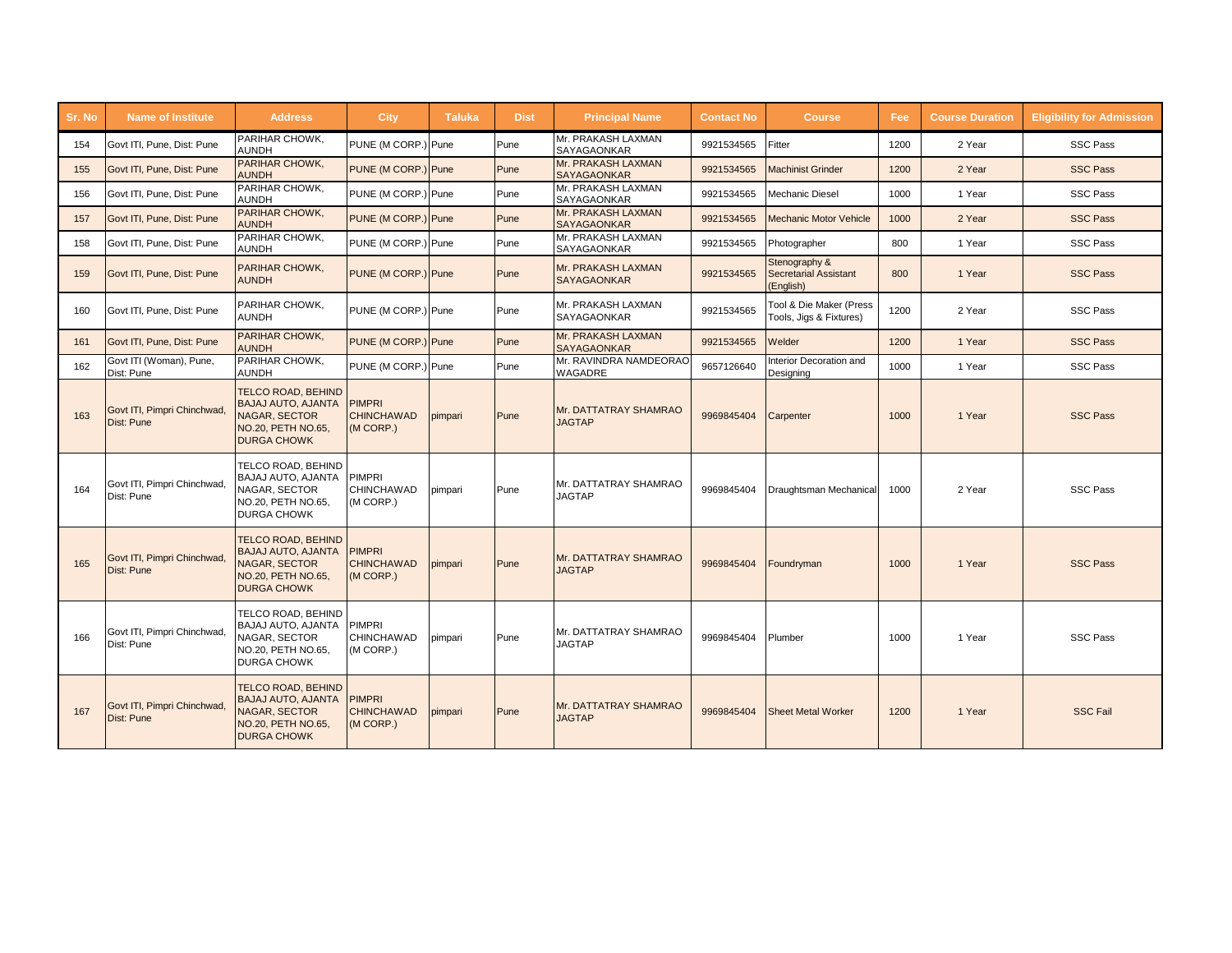| Sr. No | <b>Name of Institute</b>                  | <b>Address</b>                                                                                                             | <b>City</b>                                     | <b>Taluka</b> | <b>Dist</b> | <b>Principal Name</b>                    | <b>Contact No</b> | <b>Course</b>                                              | Fee  | <b>Course Duration</b> | <b>Eligibility for Admission</b> |
|--------|-------------------------------------------|----------------------------------------------------------------------------------------------------------------------------|-------------------------------------------------|---------------|-------------|------------------------------------------|-------------------|------------------------------------------------------------|------|------------------------|----------------------------------|
| 154    | Govt ITI, Pune, Dist: Pune                | PARIHAR CHOWK,<br><b>AUNDH</b>                                                                                             | PUNE (M CORP.)                                  | Pune          | Pune        | Mr. PRAKASH LAXMAN<br><b>SAYAGAONKAR</b> | 9921534565        | Fitter                                                     | 1200 | 2 Year                 | <b>SSC Pass</b>                  |
| 155    | Govt ITI, Pune, Dist: Pune                | PARIHAR CHOWK,<br><b>AUNDH</b>                                                                                             | PUNE (M CORP.) Pune                             |               | Pune        | Mr. PRAKASH LAXMAN<br><b>SAYAGAONKAR</b> | 9921534565        | <b>Machinist Grinder</b>                                   | 1200 | 2 Year                 | <b>SSC Pass</b>                  |
| 156    | Govt ITI, Pune, Dist: Pune                | PARIHAR CHOWK,<br><b>AUNDH</b>                                                                                             | PUNE (M CORP.) Pune                             |               | Pune        | Mr. PRAKASH LAXMAN<br>SAYAGAONKAR        | 9921534565        | Mechanic Diesel                                            | 1000 | 1 Year                 | <b>SSC Pass</b>                  |
| 157    | Govt ITI. Pune. Dist: Pune                | <b>PARIHAR CHOWK,</b><br><b>AUNDH</b>                                                                                      | PUNE (M CORP.) Pune                             |               | Pune        | Mr. PRAKASH LAXMAN<br><b>SAYAGAONKAR</b> | 9921534565        | <b>Mechanic Motor Vehicle</b>                              | 1000 | 2 Year                 | <b>SSC Pass</b>                  |
| 158    | Govt ITI, Pune, Dist: Pune                | PARIHAR CHOWK,<br><b>AUNDH</b>                                                                                             | PUNE (M CORP.) Pune                             |               | Pune        | Mr. PRAKASH LAXMAN<br>SAYAGAONKAR        | 9921534565        | Photographer                                               | 800  | 1 Year                 | <b>SSC Pass</b>                  |
| 159    | Govt ITI, Pune, Dist: Pune                | PARIHAR CHOWK,<br><b>AUNDH</b>                                                                                             | PUNE (M CORP.) Pune                             |               | Pune        | Mr. PRAKASH LAXMAN<br>SAYAGAONKAR        | 9921534565        | Stenography &<br><b>Secretarial Assistant</b><br>(English) | 800  | 1 Year                 | <b>SSC Pass</b>                  |
| 160    | Govt ITI, Pune, Dist: Pune                | PARIHAR CHOWK,<br><b>AUNDH</b>                                                                                             | PUNE (M CORP.) Pune                             |               | Pune        | Mr. PRAKASH LAXMAN<br><b>SAYAGAONKAR</b> | 9921534565        | Tool & Die Maker (Press<br>Tools, Jigs & Fixtures)         | 1200 | 2 Year                 | <b>SSC Pass</b>                  |
| 161    | Govt ITI, Pune, Dist: Pune                | PARIHAR CHOWK,<br><b>AUNDH</b>                                                                                             | PUNE (M CORP.) Pune                             |               | Pune        | Mr. PRAKASH LAXMAN<br><b>SAYAGAONKAR</b> | 9921534565        | Welder                                                     | 1200 | 1 Year                 | <b>SSC Pass</b>                  |
| 162    | Govt ITI (Woman), Pune,<br>Dist: Pune     | PARIHAR CHOWK,<br><b>AUNDH</b>                                                                                             | PUNE (M CORP.) Pune                             |               | Pune        | Mr. RAVINDRA NAMDEORAO<br>WAGADRE        | 9657126640        | Interior Decoration and<br>Designing                       | 1000 | 1 Year                 | <b>SSC Pass</b>                  |
| 163    | Govt ITI, Pimpri Chinchwad.<br>Dist: Pune | <b>TELCO ROAD, BEHIND</b><br><b>BAJAJ AUTO, AJANTA</b><br><b>NAGAR, SECTOR</b><br>NO.20, PETH NO.65,<br><b>DURGA CHOWK</b> | <b>PIMPRI</b><br><b>CHINCHAWAD</b><br>(M CORP.) | pimpari       | Pune        | Mr. DATTATRAY SHAMRAO<br><b>JAGTAP</b>   | 9969845404        | Carpenter                                                  | 1000 | 1 Year                 | <b>SSC Pass</b>                  |
| 164    | Govt ITI, Pimpri Chinchwad.<br>Dist: Pune | TELCO ROAD, BEHIND<br>BAJAJ AUTO, AJANTA<br>NAGAR, SECTOR<br>NO.20, PETH NO.65,<br><b>DURGA CHOWK</b>                      | <b>PIMPRI</b><br>CHINCHAWAD<br>(M CORP.)        | pimpari       | Pune        | Mr. DATTATRAY SHAMRAO<br><b>JAGTAP</b>   | 9969845404        | Draughtsman Mechanical                                     | 1000 | 2 Year                 | <b>SSC Pass</b>                  |
| 165    | Govt ITI, Pimpri Chinchwad<br>Dist: Pune  | <b>TELCO ROAD, BEHIND</b><br><b>BAJAJ AUTO, AJANTA</b><br><b>NAGAR, SECTOR</b><br>NO.20. PETH NO.65.<br><b>DURGA CHOWK</b> | <b>PIMPRI</b><br><b>CHINCHAWAD</b><br>(M CORP.) | pimpari       | Pune        | Mr. DATTATRAY SHAMRAO<br><b>JAGTAP</b>   | 9969845404        | Foundryman                                                 | 1000 | 1 Year                 | <b>SSC Pass</b>                  |
| 166    | Govt ITI, Pimpri Chinchwad.<br>Dist: Pune | TELCO ROAD, BEHIND<br>BAJAJ AUTO, AJANTA<br>NAGAR, SECTOR<br>NO.20, PETH NO.65,<br><b>DURGA CHOWK</b>                      | <b>PIMPRI</b><br>CHINCHAWAD<br>(M CORP.)        | pimpari       | Pune        | Mr. DATTATRAY SHAMRAO<br><b>JAGTAP</b>   | 9969845404        | Plumber                                                    | 1000 | 1 Year                 | <b>SSC Pass</b>                  |
| 167    | Govt ITI, Pimpri Chinchwad,<br>Dist: Pune | <b>TELCO ROAD, BEHIND</b><br><b>BAJAJ AUTO, AJANTA</b><br><b>NAGAR, SECTOR</b><br>NO.20. PETH NO.65.<br><b>DURGA CHOWK</b> | <b>PIMPRI</b><br><b>CHINCHAWAD</b><br>(M CORP.) | pimpari       | Pune        | Mr. DATTATRAY SHAMRAO<br><b>JAGTAP</b>   | 9969845404        | <b>Sheet Metal Worker</b>                                  | 1200 | 1 Year                 | <b>SSC Fail</b>                  |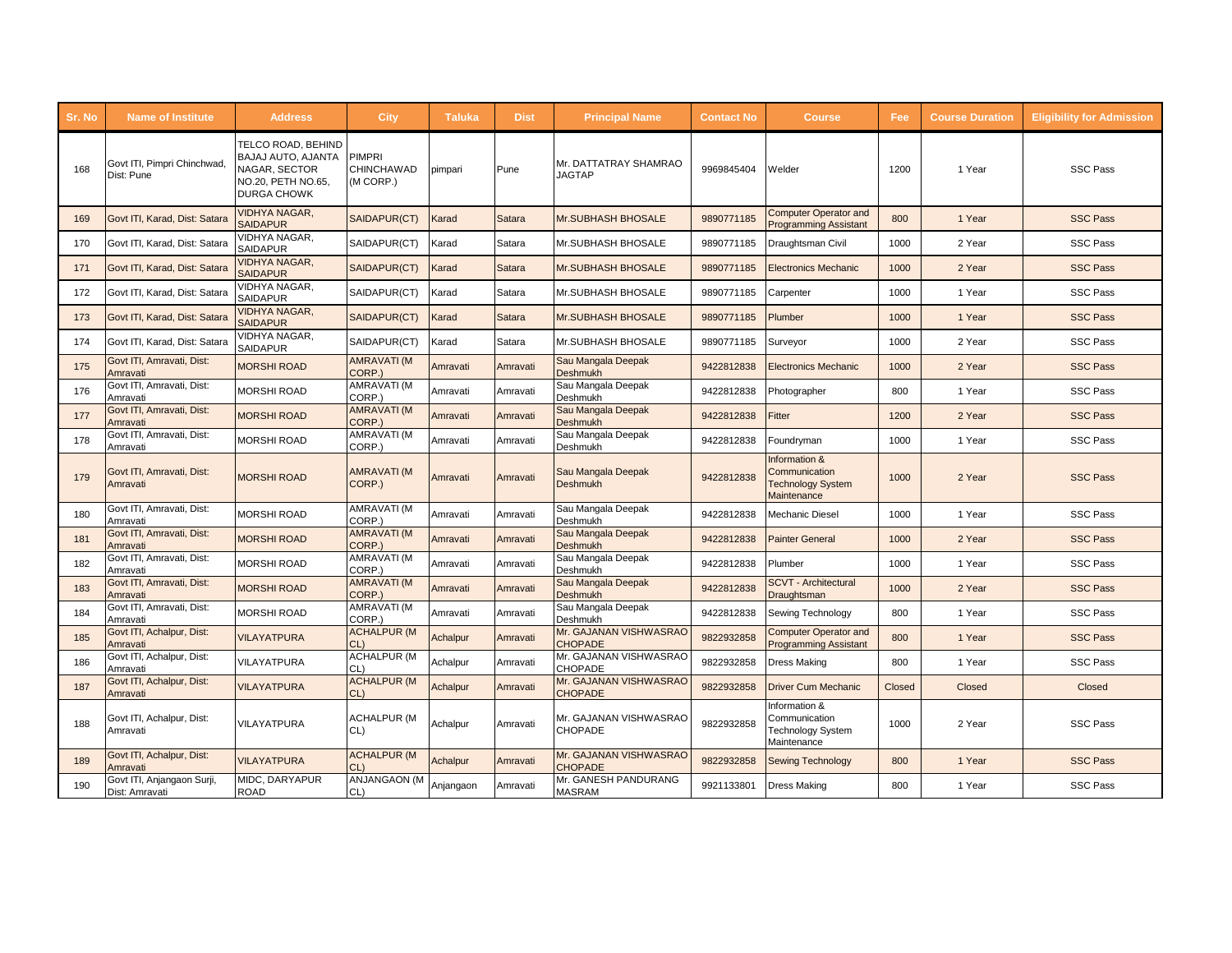| Sr. No | <b>Name of Institute</b>                     | <b>Address</b>                                                                                        | City                                     | <b>Taluka</b> | <b>Dist</b>   | <b>Principal Name</b>                    | <b>Contact No</b> | <b>Course</b>                                                             | Fee    | <b>Course Duration</b> | <b>Eligibility for Admission</b> |
|--------|----------------------------------------------|-------------------------------------------------------------------------------------------------------|------------------------------------------|---------------|---------------|------------------------------------------|-------------------|---------------------------------------------------------------------------|--------|------------------------|----------------------------------|
| 168    | Govt ITI, Pimpri Chinchwad<br>Dist: Pune     | TELCO ROAD, BEHIND<br>BAJAJ AUTO, AJANTA<br>NAGAR, SECTOR<br>NO.20, PETH NO.65,<br><b>DURGA CHOWK</b> | <b>PIMPRI</b><br>CHINCHAWAD<br>(M CORP.) | pimpari       | Pune          | Mr. DATTATRAY SHAMRAO<br><b>JAGTAP</b>   | 9969845404        | Welder                                                                    | 1200   | 1 Year                 | <b>SSC Pass</b>                  |
| 169    | Govt ITI, Karad, Dist: Satara                | <b>VIDHYA NAGAR,</b><br><b>SAIDAPUR</b>                                                               | SAIDAPUR(CT)                             | Karad         | Satara        | <b>Mr.SUBHASH BHOSALE</b>                | 9890771185        | <b>Computer Operator and</b><br><b>Programming Assistant</b>              | 800    | 1 Year                 | <b>SSC Pass</b>                  |
| 170    | Govt ITI, Karad, Dist: Satara                | VIDHYA NAGAR,<br>SAIDAPUR                                                                             | SAIDAPUR(CT)                             | Karad         | Satara        | Mr.SUBHASH BHOSALE                       | 9890771185        | Draughtsman Civil                                                         | 1000   | 2 Year                 | <b>SSC Pass</b>                  |
| 171    | Govt ITI, Karad, Dist: Satara                | <b>VIDHYA NAGAR.</b><br><b>SAIDAPUR</b>                                                               | SAIDAPUR(CT)                             | Karad         | <b>Satara</b> | <b>Mr.SUBHASH BHOSALE</b>                | 9890771185        | <b>Electronics Mechanic</b>                                               | 1000   | 2 Year                 | <b>SSC Pass</b>                  |
| 172    | Govt ITI, Karad, Dist: Satara                | VIDHYA NAGAR,<br><b>SAIDAPUR</b>                                                                      | SAIDAPUR(CT)                             | Karad         | Satara        | Mr.SUBHASH BHOSALE                       | 9890771185        | Carpenter                                                                 | 1000   | 1 Year                 | <b>SSC Pass</b>                  |
| 173    | Govt ITI, Karad, Dist: Satara                | <b>VIDHYA NAGAR,</b><br><b>SAIDAPUR</b>                                                               | SAIDAPUR(CT)                             | Karad         | Satara        | <b>Mr.SUBHASH BHOSALE</b>                | 9890771185        | Plumber                                                                   | 1000   | 1 Year                 | <b>SSC Pass</b>                  |
| 174    | Govt ITI, Karad, Dist: Satara                | VIDHYA NAGAR.<br><b>SAIDAPUR</b>                                                                      | SAIDAPUR(CT)                             | Karad         | Satara        | Mr.SUBHASH BHOSALE                       | 9890771185        | Surveyor                                                                  | 1000   | 2 Year                 | <b>SSC Pass</b>                  |
| 175    | Govt ITI, Amravati, Dist:<br>Amravati        | <b>MORSHI ROAD</b>                                                                                    | <b>AMRAVATI (M</b><br>CORP.)             | Amravati      | Amravati      | Sau Mangala Deepak<br><b>Deshmukh</b>    | 9422812838        | <b>Electronics Mechanic</b>                                               | 1000   | 2 Year                 | <b>SSC Pass</b>                  |
| 176    | Govt ITI, Amravati, Dist:<br>Amravati        | <b>MORSHI ROAD</b>                                                                                    | AMRAVATI (M<br>CORP.)                    | Amravati      | Amravati      | Sau Mangala Deepak<br>Deshmukh           | 9422812838        | Photographer                                                              | 800    | 1 Year                 | <b>SSC Pass</b>                  |
| 177    | Govt ITI, Amravati, Dist:<br>Amravati        | <b>MORSHI ROAD</b>                                                                                    | <b>AMRAVATI (M</b><br>CORP.)             | Amravati      | Amravati      | Sau Mangala Deepak<br>Deshmukh           | 9422812838        | Fitter                                                                    | 1200   | 2 Year                 | <b>SSC Pass</b>                  |
| 178    | Govt ITI, Amravati, Dist:<br>Amravati        | <b>MORSHI ROAD</b>                                                                                    | AMRAVATI (M<br>CORP.)                    | Amravati      | Amravati      | Sau Mangala Deepak<br>Deshmukh           | 9422812838        | Foundryman                                                                | 1000   | 1 Year                 | <b>SSC Pass</b>                  |
| 179    | Govt ITI, Amravati, Dist:<br>Amravati        | <b>MORSHI ROAD</b>                                                                                    | AMRAVATI (M<br>CORP.)                    | Amravati      | Amravati      | Sau Mangala Deepak<br><b>Deshmukh</b>    | 9422812838        | Information &<br>Communication<br><b>Technology System</b><br>Maintenance | 1000   | 2 Year                 | <b>SSC Pass</b>                  |
| 180    | Govt ITI, Amravati, Dist:<br>Amravati        | <b>MORSHI ROAD</b>                                                                                    | AMRAVATI (M<br>CORP.)                    | Amravati      | Amravati      | Sau Mangala Deepak<br>Deshmukh           | 9422812838        | Mechanic Diesel                                                           | 1000   | 1 Year                 | <b>SSC Pass</b>                  |
| 181    | Govt ITI, Amravati, Dist:<br>Amravati        | <b>MORSHI ROAD</b>                                                                                    | <b>AMRAVATI (M</b><br>CORP.)             | Amravati      | Amravati      | Sau Mangala Deepak<br><b>Deshmukh</b>    | 9422812838        | <b>Painter General</b>                                                    | 1000   | 2 Year                 | <b>SSC Pass</b>                  |
| 182    | Govt ITI, Amravati, Dist:<br>Amravati        | <b>MORSHI ROAD</b>                                                                                    | AMRAVATI (M<br>CORP.)                    | Amravati      | Amravati      | Sau Mangala Deepak<br>Deshmukh           | 9422812838        | Plumber                                                                   | 1000   | 1 Year                 | <b>SSC Pass</b>                  |
| 183    | Govt ITI, Amravati, Dist:<br>Amravati        | <b>MORSHI ROAD</b>                                                                                    | <b>AMRAVATI (M</b><br>CORP.)             | Amravati      | Amravati      | Sau Mangala Deepak<br><b>Deshmukh</b>    | 9422812838        | <b>SCVT</b> - Architectural<br>Draughtsman                                | 1000   | 2 Year                 | <b>SSC Pass</b>                  |
| 184    | Govt ITI, Amravati, Dist:<br>Amravati        | <b>MORSHI ROAD</b>                                                                                    | AMRAVATI (M<br>CORP.)                    | Amravati      | Amravati      | Sau Mangala Deepak<br>Deshmukh           | 9422812838        | Sewing Technology                                                         | 800    | 1 Year                 | <b>SSC Pass</b>                  |
| 185    | Govt ITI, Achalpur, Dist:<br>Amravati        | <b>VILAYATPURA</b>                                                                                    | <b>ACHALPUR (M</b><br>CL)                | Achalpur      | Amravati      | Mr. GAJANAN VISHWASRAO<br><b>CHOPADE</b> | 9822932858        | <b>Computer Operator and</b><br><b>Programming Assistant</b>              | 800    | 1 Year                 | <b>SSC Pass</b>                  |
| 186    | Govt ITI, Achalpur, Dist:<br>Amravati        | <b>VILAYATPURA</b>                                                                                    | <b>ACHALPUR (M</b><br>CL)                | Achalpur      | Amravati      | Mr. GAJANAN VISHWASRAO<br>CHOPADE        | 9822932858        | <b>Dress Making</b>                                                       | 800    | 1 Year                 | <b>SSC Pass</b>                  |
| 187    | Govt ITI, Achalpur, Dist:<br>Amravati        | <b>VILAYATPURA</b>                                                                                    | <b>ACHALPUR (M</b><br>CL)                | Achalpur      | Amravati      | Mr. GAJANAN VISHWASRAO<br><b>CHOPADE</b> | 9822932858        | <b>Driver Cum Mechanic</b>                                                | Closed | Closed                 | Closed                           |
| 188    | Govt ITI, Achalpur, Dist:<br>Amravati        | <b>VILAYATPURA</b>                                                                                    | <b>ACHALPUR (M</b><br>CL)                | Achalpur      | Amravati      | Mr. GAJANAN VISHWASRAO<br><b>CHOPADE</b> | 9822932858        | Information &<br>Communication<br><b>Technology System</b><br>Maintenance | 1000   | 2 Year                 | <b>SSC Pass</b>                  |
| 189    | Govt ITI, Achalpur, Dist:<br>Amravati        | VILAYATPURA                                                                                           | <b>ACHALPUR (M</b><br>CL)                | Achalpur      | Amravati      | Mr. GAJANAN VISHWASRAO<br><b>CHOPADE</b> | 9822932858        | <b>Sewing Technology</b>                                                  | 800    | 1 Year                 | <b>SSC Pass</b>                  |
| 190    | Govt ITI, Anjangaon Surji,<br>Dist: Amravati | MIDC, DARYAPUR<br><b>ROAD</b>                                                                         | ANJANGAON (M<br>CL                       | Anjangaon     | Amravati      | Mr. GANESH PANDURANG<br><b>MASRAM</b>    | 9921133801        | <b>Dress Making</b>                                                       | 800    | 1 Year                 | <b>SSC Pass</b>                  |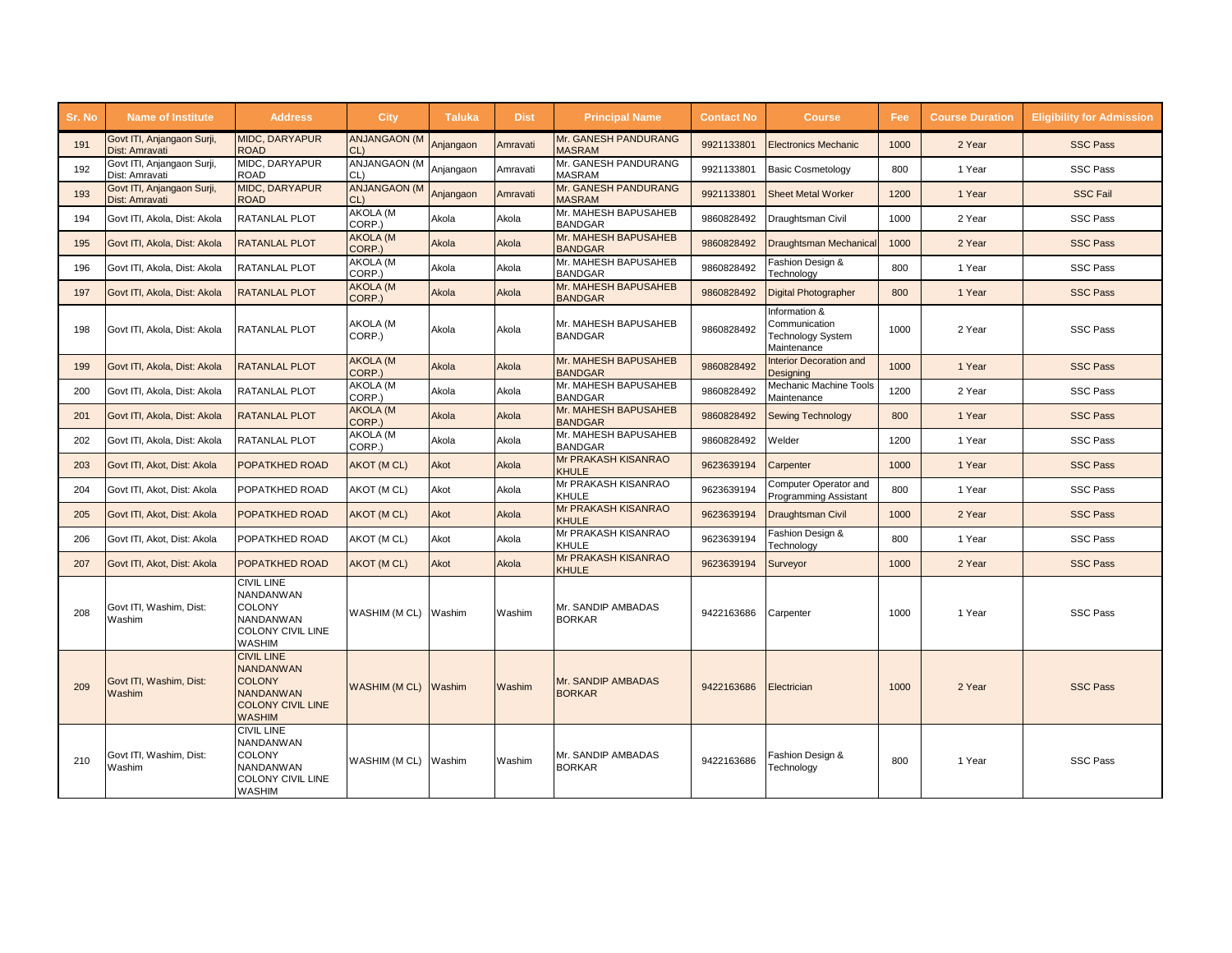| Sr. No | <b>Name of Institute</b>                     | <b>Address</b>                                                                                                          | City                          | <b>Taluka</b> | <b>Dist</b> | <b>Principal Name</b>                  | <b>Contact No</b> | <b>Course</b>                                                      | Fee: | <b>Course Duration</b> | <b>Eligibility for Admission</b> |
|--------|----------------------------------------------|-------------------------------------------------------------------------------------------------------------------------|-------------------------------|---------------|-------------|----------------------------------------|-------------------|--------------------------------------------------------------------|------|------------------------|----------------------------------|
| 191    | Govt ITI, Anjangaon Surji,<br>Dist: Amravati | <b>MIDC, DARYAPUR</b><br><b>ROAD</b>                                                                                    | <b>ANJANGAON (M</b><br>CL     | Anjangaon     | Amravati    | Mr. GANESH PANDURANG<br><b>MASRAM</b>  | 9921133801        | <b>Electronics Mechanic</b>                                        | 1000 | 2 Year                 | <b>SSC Pass</b>                  |
| 192    | Govt ITI, Anjangaon Surji,<br>Dist: Amravati | MIDC, DARYAPUR<br><b>ROAD</b>                                                                                           | ANJANGAON (M<br>CL)           | Anjangaon     | Amravati    | Mr. GANESH PANDURANG<br><b>MASRAM</b>  | 9921133801        | <b>Basic Cosmetology</b>                                           | 800  | 1 Year                 | <b>SSC Pass</b>                  |
| 193    | Govt ITI, Anjangaon Surji,<br>Dist: Amravati | <b>MIDC, DARYAPUR</b><br><b>ROAD</b>                                                                                    | <b>ANJANGAON (M</b><br>$CL$ ) | Anjangaon     | Amravati    | Mr. GANESH PANDURANG<br><b>MASRAM</b>  | 9921133801        | <b>Sheet Metal Worker</b>                                          | 1200 | 1 Year                 | <b>SSC Fail</b>                  |
| 194    | Govt ITI, Akola, Dist: Akola                 | <b>RATANLAL PLOT</b>                                                                                                    | AKOLA (M<br>CORP.)            | Akola         | Akola       | Mr. MAHESH BAPUSAHEB<br><b>BANDGAR</b> | 9860828492        | Draughtsman Civil                                                  | 1000 | 2 Year                 | <b>SSC Pass</b>                  |
| 195    | Govt ITI, Akola, Dist: Akola                 | <b>RATANLAL PLOT</b>                                                                                                    | <b>AKOLA (M</b><br>CORP.)     | Akola         | Akola       | Mr. MAHESH BAPUSAHEB<br><b>BANDGAR</b> | 9860828492        | <b>Draughtsman Mechanical</b>                                      | 1000 | 2 Year                 | <b>SSC Pass</b>                  |
| 196    | Govt ITI, Akola, Dist: Akola                 | RATANLAL PLOT                                                                                                           | AKOLA (M<br>CORP.)            | Akola         | Akola       | Mr. MAHESH BAPUSAHEB<br><b>BANDGAR</b> | 9860828492        | Fashion Design &<br>Technology                                     | 800  | 1 Year                 | <b>SSC Pass</b>                  |
| 197    | Govt ITI, Akola, Dist: Akola                 | <b>RATANLAL PLOT</b>                                                                                                    | <b>AKOLA (M</b><br>CORP.)     | Akola         | Akola       | Mr. MAHESH BAPUSAHEB<br><b>BANDGAR</b> | 9860828492        | <b>Digital Photographer</b>                                        | 800  | 1 Year                 | <b>SSC Pass</b>                  |
| 198    | Govt ITI, Akola, Dist: Akola                 | <b>RATANLAL PLOT</b>                                                                                                    | AKOLA (M<br>CORP.)            | Akola         | Akola       | Mr. MAHESH BAPUSAHEB<br><b>BANDGAR</b> | 9860828492        | Information &<br>Communication<br>Technology System<br>Maintenance | 1000 | 2 Year                 | <b>SSC Pass</b>                  |
| 199    | Govt ITI, Akola, Dist: Akola                 | <b>RATANLAL PLOT</b>                                                                                                    | <b>AKOLA (M</b><br>CORP.)     | Akola         | Akola       | Mr. MAHESH BAPUSAHEB<br><b>BANDGAR</b> | 9860828492        | Interior Decoration and<br>Desianina                               | 1000 | 1 Year                 | <b>SSC Pass</b>                  |
| 200    | Govt ITI, Akola, Dist: Akola                 | <b>RATANLAL PLOT</b>                                                                                                    | AKOLA (M<br>CORP.)            | Akola         | Akola       | Mr. MAHESH BAPUSAHEB<br><b>BANDGAR</b> | 9860828492        | Mechanic Machine Tools<br>Maintenance                              | 1200 | 2 Year                 | <b>SSC Pass</b>                  |
| 201    | Govt ITI, Akola, Dist: Akola                 | <b>RATANLAL PLOT</b>                                                                                                    | <b>AKOLA (M</b><br>CORP.)     | Akola         | Akola       | Mr. MAHESH BAPUSAHEB<br><b>BANDGAR</b> | 9860828492        | <b>Sewing Technology</b>                                           | 800  | 1 Year                 | <b>SSC Pass</b>                  |
| 202    | Govt ITI, Akola, Dist: Akola                 | <b>RATANLAL PLOT</b>                                                                                                    | AKOLA (M<br>CORP.)            | Akola         | Akola       | Mr. MAHESH BAPUSAHEB<br><b>BANDGAR</b> | 9860828492        | Welder                                                             | 1200 | 1 Year                 | <b>SSC Pass</b>                  |
| 203    | Govt ITI. Akot. Dist: Akola                  | <b>POPATKHED ROAD</b>                                                                                                   | AKOT (MCL)                    | Akot          | Akola       | Mr PRAKASH KISANRAO<br><b>KHULE</b>    | 9623639194        | Carpenter                                                          | 1000 | 1 Year                 | <b>SSC Pass</b>                  |
| 204    | Govt ITI, Akot, Dist: Akola                  | POPATKHED ROAD                                                                                                          | AKOT (M CL)                   | Akot          | Akola       | Mr PRAKASH KISANRAO<br><b>KHULE</b>    | 9623639194        | Computer Operator and<br>Programming Assistant                     | 800  | 1 Year                 | <b>SSC Pass</b>                  |
| 205    | Govt ITI, Akot, Dist: Akola                  | <b>POPATKHED ROAD</b>                                                                                                   | AKOT (MCL)                    | Akot          | Akola       | Mr PRAKASH KISANRAO<br><b>KHULE</b>    | 9623639194        | Draughtsman Civil                                                  | 1000 | 2 Year                 | <b>SSC Pass</b>                  |
| 206    | Govt ITI. Akot. Dist: Akola                  | <b>POPATKHED ROAD</b>                                                                                                   | AKOT (M CL)                   | Akot          | Akola       | Mr PRAKASH KISANRAO<br>KHULE           | 9623639194        | Fashion Design &<br>Technology                                     | 800  | 1 Year                 | <b>SSC Pass</b>                  |
| 207    | Govt ITI, Akot, Dist: Akola                  | <b>POPATKHED ROAD</b>                                                                                                   | AKOT (MCL)                    | Akot          | Akola       | Mr PRAKASH KISANRAO<br><b>KHULE</b>    | 9623639194        | Surveyor                                                           | 1000 | 2 Year                 | <b>SSC Pass</b>                  |
| 208    | Govt ITI, Washim, Dist:<br>Washim            | <b>CIVIL LINE</b><br><b>NANDANWAN</b><br><b>COLONY</b><br>NANDANWAN<br><b>COLONY CIVIL LINE</b><br><b>WASHIM</b>        | WASHIM (MCL)                  | Washim        | Washim      | Mr. SANDIP AMBADAS<br><b>BORKAR</b>    | 9422163686        | Carpenter                                                          | 1000 | 1 Year                 | <b>SSC Pass</b>                  |
| 209    | Govt ITI, Washim, Dist:<br>Washim            | <b>CIVIL LINE</b><br><b>NANDANWAN</b><br><b>COLONY</b><br><b>NANDANWAN</b><br><b>COLONY CIVIL LINE</b><br><b>WASHIM</b> | <b>WASHIM (MCL)</b>           | Washim        | Washim      | Mr. SANDIP AMBADAS<br><b>BORKAR</b>    | 9422163686        | Electrician                                                        | 1000 | 2 Year                 | <b>SSC Pass</b>                  |
| 210    | Govt ITI, Washim, Dist:<br>Washim            | <b>CIVIL LINE</b><br><b>NANDANWAN</b><br><b>COLONY</b><br><b>NANDANWAN</b><br><b>COLONY CIVIL LINE</b><br><b>WASHIM</b> | WASHIM (MCL)                  | Washim        | Washim      | Mr. SANDIP AMBADAS<br><b>BORKAR</b>    | 9422163686        | ashion Design &<br>Technology                                      | 800  | 1 Year                 | <b>SSC Pass</b>                  |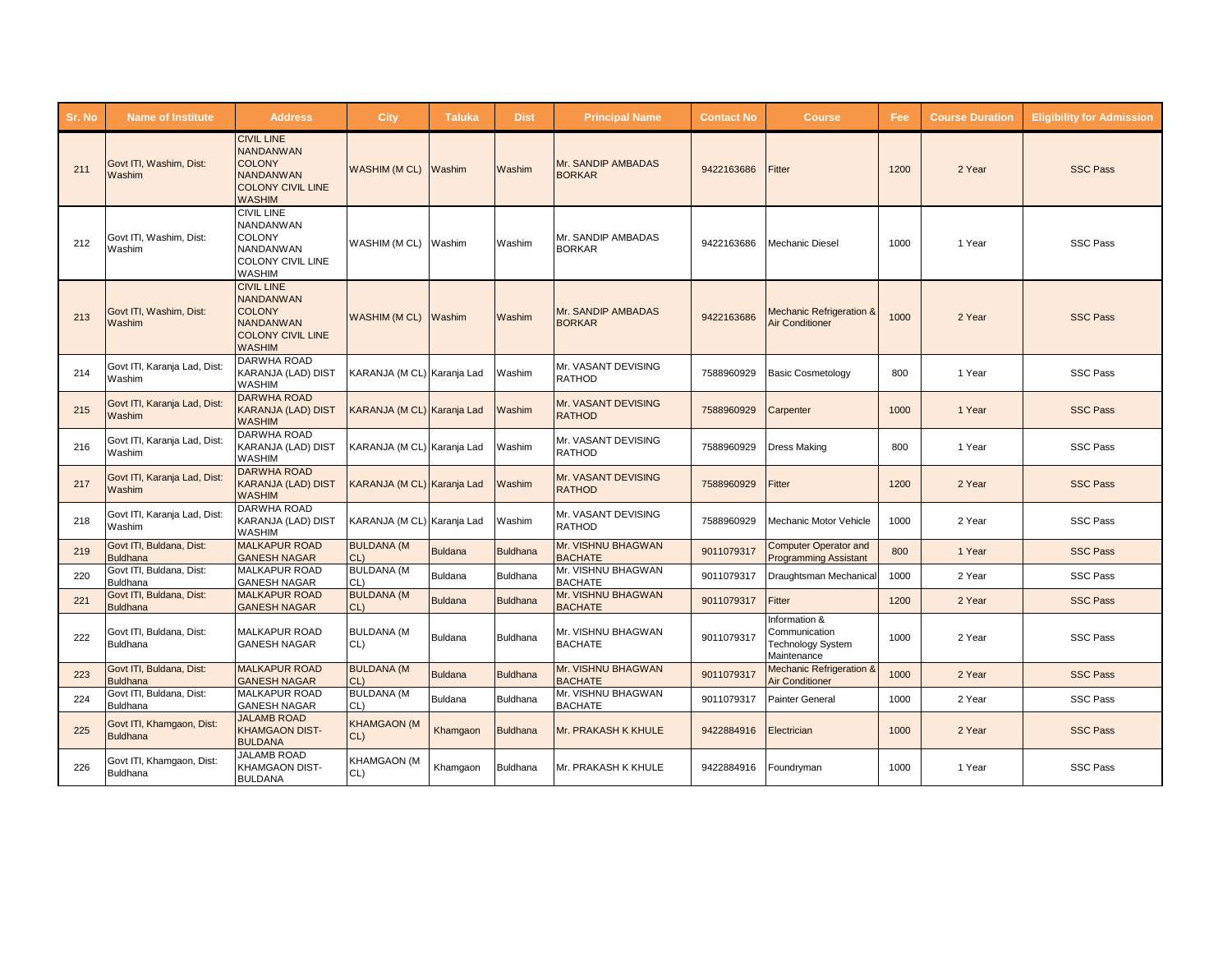| Sr. No | <b>Name of Institute</b>                     | <b>Address</b>                                                                                                          | <b>City</b>                  | <b>Taluka</b>  | <b>Dist</b>     | <b>Principal Name</b>                | <b>Contact No</b> | <b>Course</b>                                                             | Fee  | <b>Course Duration</b> | <b>Eligibility for Admission</b> |
|--------|----------------------------------------------|-------------------------------------------------------------------------------------------------------------------------|------------------------------|----------------|-----------------|--------------------------------------|-------------------|---------------------------------------------------------------------------|------|------------------------|----------------------------------|
| 211    | Govt ITI, Washim, Dist:<br>Washim            | <b>CIVIL LINE</b><br><b>NANDANWAN</b><br><b>COLONY</b><br><b>NANDANWAN</b><br><b>COLONY CIVIL LINE</b><br><b>WASHIM</b> | WASHIM (MCL)                 | Washim         | Washim          | Mr. SANDIP AMBADAS<br><b>BORKAR</b>  | 9422163686        | Fitter                                                                    | 1200 | 2 Year                 | <b>SSC Pass</b>                  |
| 212    | Govt ITI, Washim, Dist:<br>Washim            | <b>CIVIL LINE</b><br><b>NANDANWAN</b><br><b>COLONY</b><br><b>NANDANWAN</b><br><b>COLONY CIVIL LINE</b><br><b>WASHIM</b> | WASHIM (M CL)                | Washim         | Washim          | Mr. SANDIP AMBADAS<br><b>BORKAR</b>  | 9422163686        | Mechanic Diesel                                                           | 1000 | 1 Year                 | <b>SSC Pass</b>                  |
| 213    | Govt ITI, Washim, Dist:<br>Washim            | <b>CIVIL LINE</b><br><b>NANDANWAN</b><br><b>COLONY</b><br><b>NANDANWAN</b><br><b>COLONY CIVIL LINE</b><br><b>WASHIM</b> | <b>WASHIM (MCL)</b>          | Washim         | Washim          | Mr. SANDIP AMBADAS<br><b>BORKAR</b>  | 9422163686        | <b>Mechanic Refrigeration &amp;</b><br><b>Air Conditioner</b>             | 1000 | 2 Year                 | <b>SSC Pass</b>                  |
| 214    | Govt ITI, Karanja Lad, Dist:<br>Washim       | <b>DARWHA ROAD</b><br><b>KARANJA (LAD) DIST</b><br><b>WASHIM</b>                                                        | KARANJA (M CL) Karanja Lad   |                | Washim          | Mr. VASANT DEVISING<br><b>RATHOD</b> | 7588960929        | <b>Basic Cosmetology</b>                                                  | 800  | 1 Year                 | <b>SSC Pass</b>                  |
| 215    | Govt ITI, Karanja Lad, Dist:<br>Washim       | <b>DARWHA ROAD</b><br><b>KARANJA (LAD) DIST</b><br><b>WASHIM</b>                                                        | KARANJA (M CL) Karanja Lad   |                | Washim          | Mr. VASANT DEVISING<br><b>RATHOD</b> | 7588960929        | Carpenter                                                                 | 1000 | 1 Year                 | <b>SSC Pass</b>                  |
| 216    | Govt ITI, Karanja Lad, Dist:<br>Washim       | DARWHA ROAD<br>KARANJA (LAD) DIST<br><b>WASHIM</b>                                                                      | KARANJA (M CL) Karanja Lad   |                | Washim          | Mr. VASANT DEVISING<br><b>RATHOD</b> | 7588960929        | <b>Dress Making</b>                                                       | 800  | 1 Year                 | <b>SSC Pass</b>                  |
| 217    | Govt ITI, Karanja Lad, Dist:<br>Washim       | <b>DARWHA ROAD</b><br><b>KARANJA (LAD) DIST</b><br><b>WASHIM</b>                                                        | KARANJA (M CL) Karanja Lad   |                | Washim          | Mr. VASANT DEVISING<br><b>RATHOD</b> | 7588960929        | Fitter                                                                    | 1200 | 2 Year                 | <b>SSC Pass</b>                  |
| 218    | Govt ITI, Karanja Lad, Dist:<br>Washim       | <b>DARWHA ROAD</b><br>KARANJA (LAD) DIST<br><b>WASHIM</b>                                                               | KARANJA (M CL) Karanja Lad   |                | Washim          | Mr. VASANT DEVISING<br><b>RATHOD</b> | 7588960929        | Mechanic Motor Vehicle                                                    | 1000 | 2 Year                 | <b>SSC Pass</b>                  |
| 219    | Govt ITI, Buldana, Dist:<br><b>Buldhana</b>  | <b>MALKAPUR ROAD</b><br><b>GANESH NAGAR</b>                                                                             | <b>BULDANA (M</b><br>CL      | <b>Buldana</b> | <b>Buldhana</b> | Mr. VISHNU BHAGWAN<br><b>BACHATE</b> | 9011079317        | <b>Computer Operator and</b><br><b>Programming Assistant</b>              | 800  | 1 Year                 | <b>SSC Pass</b>                  |
| 220    | Govt ITI, Buldana, Dist:<br>Buldhana         | <b>MALKAPUR ROAD</b><br><b>GANESH NAGAR</b>                                                                             | <b>BULDANA (M</b><br>CL      | <b>Buldana</b> | <b>Buldhana</b> | Mr. VISHNU BHAGWAN<br><b>BACHATE</b> | 9011079317        | Draughtsman Mechanica                                                     | 1000 | 2 Year                 | <b>SSC Pass</b>                  |
| 221    | Govt ITI, Buldana, Dist:<br><b>Buldhana</b>  | <b>MALKAPUR ROAD</b><br><b>GANESH NAGAR</b>                                                                             | <b>BULDANA (M</b><br>CL      | <b>Buldana</b> | <b>Buldhana</b> | Mr. VISHNU BHAGWAN<br><b>BACHATE</b> | 9011079317        | Fitter                                                                    | 1200 | 2 Year                 | <b>SSC Pass</b>                  |
| 222    | Govt ITI, Buldana, Dist:<br><b>Buldhana</b>  | <b>MALKAPUR ROAD</b><br><b>GANESH NAGAR</b>                                                                             | <b>BULDANA (M</b><br>CL)     | <b>Buldana</b> | <b>Buldhana</b> | Mr. VISHNU BHAGWAN<br><b>BACHATE</b> | 9011079317        | Information &<br>Communication<br><b>Technology System</b><br>Maintenance | 1000 | 2 Year                 | <b>SSC Pass</b>                  |
| 223    | Govt ITI, Buldana, Dist:<br><b>Buldhana</b>  | <b>MALKAPUR ROAD</b><br><b>GANESH NAGAR</b>                                                                             | <b>BULDANA (M</b><br>$CL$ )  | <b>Buldana</b> | <b>Buldhana</b> | Mr. VISHNU BHAGWAN<br><b>BACHATE</b> | 9011079317        | <b>Mechanic Refrigeration &amp;</b><br>Air Conditioner                    | 1000 | 2 Year                 | <b>SSC Pass</b>                  |
| 224    | Govt ITI, Buldana, Dist:<br>Buldhana         | <b>MALKAPUR ROAD</b><br><b>GANESH NAGAR</b>                                                                             | <b>BULDANA (M</b><br>CL)     | <b>Buldana</b> | <b>Buldhana</b> | Mr. VISHNU BHAGWAN<br><b>BACHATE</b> | 9011079317        | Painter General                                                           | 1000 | 2 Year                 | <b>SSC Pass</b>                  |
| 225    | Govt ITI, Khamgaon, Dist:<br><b>Buldhana</b> | <b>JALAMB ROAD</b><br><b>KHAMGAON DIST-</b><br><b>BULDANA</b>                                                           | <b>KHAMGAON (M</b><br>$CL$ ) | Khamgaon       | <b>Buldhana</b> | Mr. PRAKASH K KHULE                  | 9422884916        | Electrician                                                               | 1000 | 2 Year                 | <b>SSC Pass</b>                  |
| 226    | Govt ITI, Khamgaon, Dist:<br>Buldhana        | <b>JALAMB ROAD</b><br><b>KHAMGAON DIST-</b><br><b>BULDANA</b>                                                           | <b>KHAMGAON (M</b><br>CL)    | Khamgaon       | <b>Buldhana</b> | Mr. PRAKASH K KHULE                  | 9422884916        | Foundryman                                                                | 1000 | 1 Year                 | <b>SSC Pass</b>                  |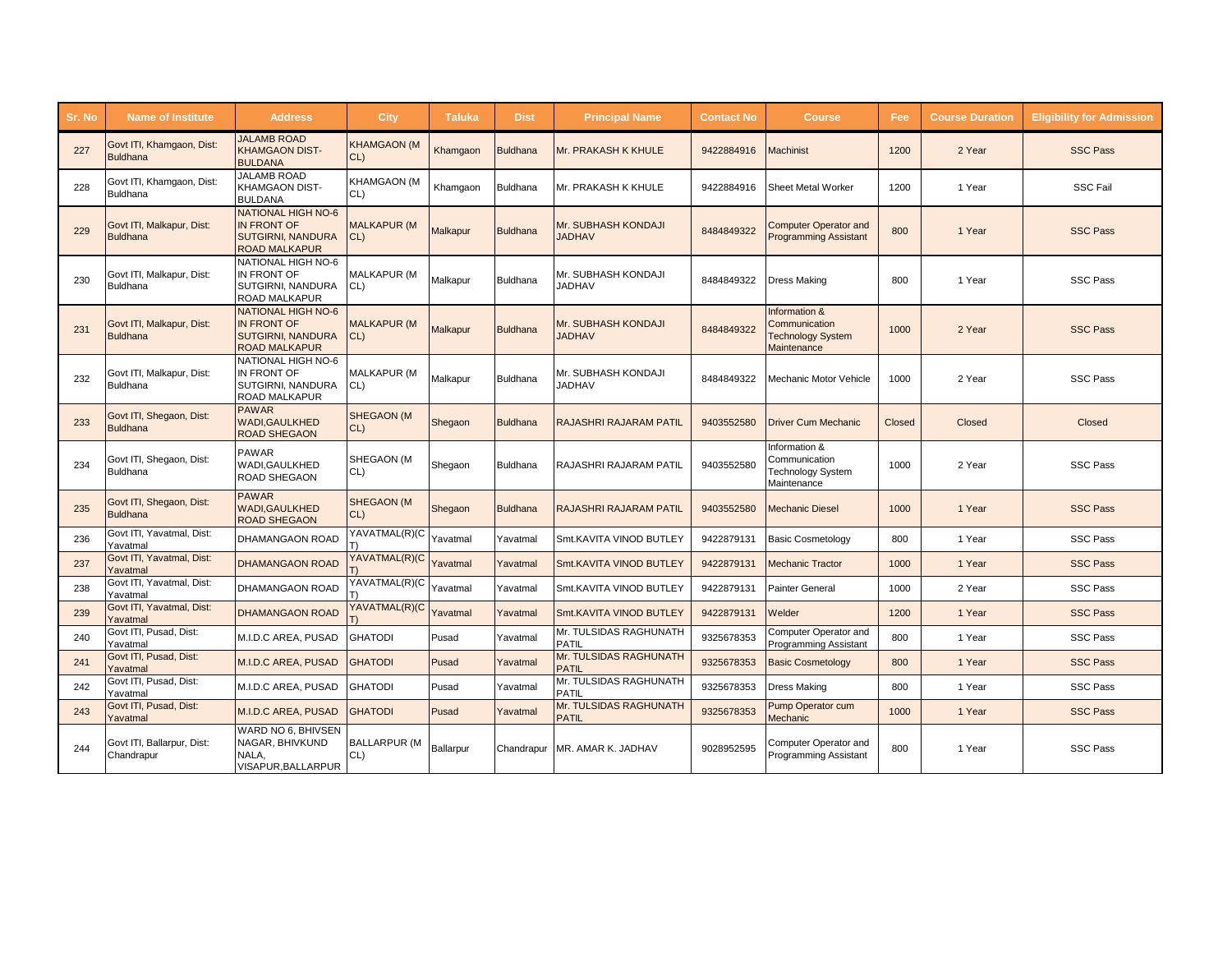| Sr. No | <b>Name of Institute</b>                     | <b>Address</b>                                                                                      | <b>City</b>                  | <b>Taluka</b> | <b>Dist</b>     | <b>Principal Name</b>                  | <b>Contact No</b> | Course,                                                                   | Fee    | <b>Course Duration</b> | <b>Eligibility for Admission</b> |
|--------|----------------------------------------------|-----------------------------------------------------------------------------------------------------|------------------------------|---------------|-----------------|----------------------------------------|-------------------|---------------------------------------------------------------------------|--------|------------------------|----------------------------------|
| 227    | Govt ITI, Khamgaon, Dist:<br><b>Buldhana</b> | <b>JALAMB ROAD</b><br><b>KHAMGAON DIST-</b><br><b>BULDANA</b>                                       | <b>KHAMGAON (M</b><br>$CL$ ) | Khamgaon      | <b>Buldhana</b> | Mr. PRAKASH K KHULE                    | 9422884916        | <b>Aachinist</b>                                                          | 1200   | 2 Year                 | <b>SSC Pass</b>                  |
| 228    | Govt ITI, Khamgaon, Dist:<br><b>Buldhana</b> | <b>JALAMB ROAD</b><br><b>KHAMGAON DIST-</b><br><b>BULDANA</b>                                       | <b>KHAMGAON (M</b><br>CL)    | Khamgaon      | <b>Buldhana</b> | Mr. PRAKASH K KHULE                    | 9422884916        | Sheet Metal Worker                                                        | 1200   | 1 Year                 | <b>SSC Fail</b>                  |
| 229    | Govt ITI, Malkapur, Dist:<br><b>Buldhana</b> | <b>NATIONAL HIGH NO-6</b><br><b>IN FRONT OF</b><br><b>SUTGIRNI, NANDURA</b><br><b>ROAD MALKAPUR</b> | <b>MALKAPUR (M</b><br>CL)    | Malkapur      | <b>Buldhana</b> | Mr. SUBHASH KONDAJI<br><b>JADHAV</b>   | 8484849322        | <b>Computer Operator and</b><br><b>Programming Assistant</b>              | 800    | 1 Year                 | <b>SSC Pass</b>                  |
| 230    | Govt ITI, Malkapur, Dist:<br><b>Buldhana</b> | <b>NATIONAL HIGH NO-6</b><br>IN FRONT OF<br><b>SUTGIRNI, NANDURA</b><br><b>ROAD MALKAPUR</b>        | <b>MALKAPUR (M</b><br>CL)    | Malkapur      | <b>Buldhana</b> | Mr. SUBHASH KONDAJI<br><b>JADHAV</b>   | 8484849322        | <b>Dress Making</b>                                                       | 800    | 1 Year                 | <b>SSC Pass</b>                  |
| 231    | Govt ITI, Malkapur, Dist:<br><b>Buldhana</b> | <b>NATIONAL HIGH NO-6</b><br><b>IN FRONT OF</b><br><b>SUTGIRNI, NANDURA</b><br><b>ROAD MALKAPUR</b> | <b>MALKAPUR (M</b><br>$CL$ ) | Malkapur      | <b>Buldhana</b> | Mr. SUBHASH KONDAJI<br><b>JADHAV</b>   | 8484849322        | Information &<br>Communication<br><b>Technology System</b><br>Maintenance | 1000   | 2 Year                 | <b>SSC Pass</b>                  |
| 232    | Govt ITI, Malkapur, Dist:<br><b>Buldhana</b> | <b>NATIONAL HIGH NO-6</b><br>IN FRONT OF<br><b>SUTGIRNI, NANDURA</b><br><b>ROAD MALKAPUR</b>        | <b>MALKAPUR (M</b><br>CL)    | Malkapur      | <b>Buldhana</b> | Mr. SUBHASH KONDAJI<br><b>JADHAV</b>   | 8484849322        | Mechanic Motor Vehicle                                                    | 1000   | 2 Year                 | <b>SSC Pass</b>                  |
| 233    | Govt ITI, Shegaon, Dist:<br><b>Buldhana</b>  | <b>PAWAR</b><br><b>WADI.GAULKHED</b><br><b>ROAD SHEGAON</b>                                         | <b>SHEGAON (M</b><br>CL)     | Shegaon       | <b>Buldhana</b> | <b>RAJASHRI RAJARAM PATIL</b>          | 9403552580        | <b>Driver Cum Mechanic</b>                                                | Closed | Closed                 | Closed                           |
| 234    | Govt ITI, Shegaon, Dist:<br><b>Buldhana</b>  | <b>PAWAR</b><br><b>WADI.GAULKHED</b><br><b>ROAD SHEGAON</b>                                         | SHEGAON (M<br>CL)            | Shegaon       | <b>Buldhana</b> | RAJASHRI RAJARAM PATIL                 | 9403552580        | Information &<br>Communication<br><b>Technology System</b><br>Maintenance | 1000   | 2 Year                 | <b>SSC Pass</b>                  |
| 235    | Govt ITI, Shegaon, Dist:<br><b>Buldhana</b>  | <b>PAWAR</b><br><b>WADI.GAULKHED</b><br><b>ROAD SHEGAON</b>                                         | <b>SHEGAON (M</b><br>$CL$ )  | Shegaon       | <b>Buldhana</b> | <b>RAJASHRI RAJARAM PATIL</b>          | 9403552580        | Mechanic Diesel                                                           | 1000   | 1 Year                 | <b>SSC Pass</b>                  |
| 236    | Govt ITI, Yavatmal, Dist:<br>Yavatmal        | <b>DHAMANGAON ROAD</b>                                                                              | YAVATMAL(R)(C                | Yavatmal      | Yavatmal        | Smt.KAVITA VINOD BUTLEY                | 9422879131        | <b>Basic Cosmetology</b>                                                  | 800    | 1 Year                 | <b>SSC Pass</b>                  |
| 237    | Govt ITI, Yavatmal, Dist:<br>Yavatmal        | <b>DHAMANGAON ROAD</b>                                                                              | YAVATMAL(R)(C                | Yavatmal      | Yavatmal        | Smt.KAVITA VINOD BUTLEY                | 9422879131        | <b>Mechanic Tractor</b>                                                   | 1000   | 1 Year                 | <b>SSC Pass</b>                  |
| 238    | Govt ITI, Yavatmal, Dist:<br>Yavatmal        | <b>DHAMANGAON ROAD</b>                                                                              | YAVATMAL(R)(C                | Yavatmal      | Yavatmal        | Smt.KAVITA VINOD BUTLEY                | 9422879131        | Painter General                                                           | 1000   | 2 Year                 | <b>SSC Pass</b>                  |
| 239    | Govt ITI, Yavatmal, Dist:<br>Yavatmal        | <b>DHAMANGAON ROAD</b>                                                                              | YAVATMAL(R)(C                | Yavatmal      | Yavatmal        | Smt.KAVITA VINOD BUTLEY                | 9422879131        | Welder                                                                    | 1200   | 1 Year                 | <b>SSC Pass</b>                  |
| 240    | Govt ITI, Pusad, Dist:<br>Yavatmal           | M.I.D.C AREA. PUSAD                                                                                 | <b>GHATODI</b>               | Pusad         | Yavatmal        | Mr. TULSIDAS RAGHUNATH<br><b>PATIL</b> | 9325678353        | Computer Operator and<br><b>Programming Assistant</b>                     | 800    | 1 Year                 | <b>SSC Pass</b>                  |
| 241    | Govt ITI, Pusad, Dist:<br>Yavatmal           | M.I.D.C AREA, PUSAD                                                                                 | <b>GHATODI</b>               | Pusad         | Yavatmal        | Mr. TULSIDAS RAGHUNATH<br><b>PATIL</b> | 9325678353        | <b>Basic Cosmetology</b>                                                  | 800    | 1 Year                 | <b>SSC Pass</b>                  |
| 242    | Govt ITI, Pusad, Dist:<br>Yavatmal           | M.I.D.C AREA, PUSAD                                                                                 | <b>GHATODI</b>               | Pusad         | Yavatmal        | Mr. TULSIDAS RAGHUNATH<br><b>PATIL</b> | 9325678353        | <b>Dress Making</b>                                                       | 800    | 1 Year                 | <b>SSC Pass</b>                  |
| 243    | Govt ITI, Pusad, Dist:<br>Yavatmal           | M.I.D.C AREA, PUSAD                                                                                 | <b>GHATODI</b>               | Pusad         | Yavatmal        | Mr. TULSIDAS RAGHUNATH<br><b>PATIL</b> | 9325678353        | Pump Operator cum<br>Mechanic                                             | 1000   | 1 Year                 | <b>SSC Pass</b>                  |
| 244    | Govt ITI, Ballarpur, Dist:<br>Chandrapur     | WARD NO 6, BHIVSEN<br>NAGAR, BHIVKUND<br>NALA,<br>VISAPUR, BALLARPUR                                | <b>BALLARPUR (M</b><br>CL)   | Ballarpur     | Chandrapur      | MR. AMAR K. JADHAV                     | 9028952595        | Computer Operator and<br>Programming Assistant                            | 800    | 1 Year                 | <b>SSC Pass</b>                  |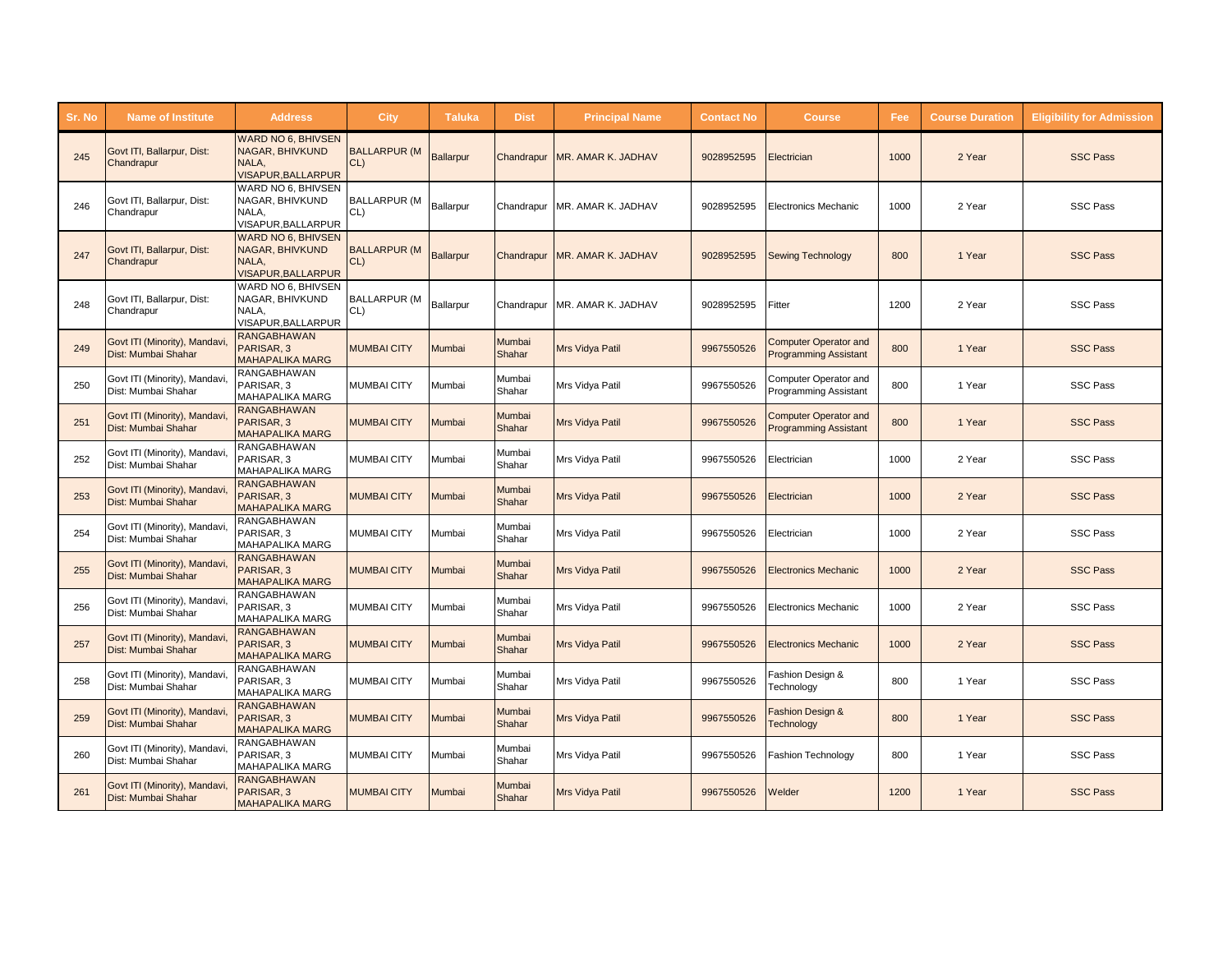| Sr. No | <b>Name of Institute</b>                             | <b>Address</b>                                                                            | City                          | <b>Taluka</b>    | <b>Dist</b>      | <b>Principal Name</b>           | <b>Contact No</b> | <b>Course</b>                                                | Fee  | <b>Course Duration</b> | <b>Eligibility for Admission</b> |
|--------|------------------------------------------------------|-------------------------------------------------------------------------------------------|-------------------------------|------------------|------------------|---------------------------------|-------------------|--------------------------------------------------------------|------|------------------------|----------------------------------|
| 245    | Govt ITI, Ballarpur, Dist:<br>Chandrapur             | <b>WARD NO 6. BHIVSEN</b><br>NAGAR, BHIVKUND<br>NALA,<br><b>VISAPUR, BALLARPUR</b>        | <b>BALLARPUR (M</b><br>$CL$ ) | <b>Ballarpur</b> | Chandrapur       | MR. AMAR K. JADHAV              | 9028952595        | Electrician                                                  | 1000 | 2 Year                 | <b>SSC Pass</b>                  |
| 246    | Govt ITI, Ballarpur, Dist:<br>Chandrapur             | WARD NO 6. BHIVSEN<br>NAGAR, BHIVKUND<br>NALA.<br>VISAPUR, BALLARPUR                      | <b>BALLARPUR (M</b><br>CL)    | Ballarpur        |                  | Chandrapur MR. AMAR K. JADHAV   | 9028952595        | <b>Electronics Mechanic</b>                                  | 1000 | 2 Year                 | <b>SSC Pass</b>                  |
| 247    | Govt ITI, Ballarpur, Dist:<br>Chandrapur             | <b>WARD NO 6. BHIVSEN</b><br><b>NAGAR, BHIVKUND</b><br>NALA,<br><b>VISAPUR, BALLARPUR</b> | <b>BALLARPUR (M</b><br>$CL$ ) | <b>Ballarpur</b> |                  | Chandrapur   MR. AMAR K. JADHAV | 9028952595        | <b>Sewing Technology</b>                                     | 800  | 1 Year                 | <b>SSC Pass</b>                  |
| 248    | Govt ITI, Ballarpur, Dist:<br>Chandrapur             | WARD NO 6. BHIVSEN<br>NAGAR, BHIVKUND<br>NALA,<br>VISAPUR, BALLARPUR                      | <b>BALLARPUR (M</b><br>CL)    | Ballarpur        |                  | Chandrapur MR. AMAR K. JADHAV   | 9028952595        | Fitter                                                       | 1200 | 2 Year                 | <b>SSC Pass</b>                  |
| 249    | Govt ITI (Minority), Mandavi<br>Dist: Mumbai Shahar  | <b>RANGABHAWAN</b><br>PARISAR, 3<br><b>MAHAPALIKA MARG</b>                                | <b>MUMBAI CITY</b>            | Mumbai           | Mumbai<br>Shahar | Mrs Vidya Patil                 | 9967550526        | <b>Computer Operator and</b><br><b>Programming Assistant</b> | 800  | 1 Year                 | <b>SSC Pass</b>                  |
| 250    | Govt ITI (Minority), Mandavi<br>Dist: Mumbai Shahar  | RANGABHAWAN<br>PARISAR, 3<br>MAHAPALIKA MARG                                              | <b>MUMBAI CITY</b>            | Mumbai           | Mumbai<br>Shahar | Mrs Vidya Patil                 | 9967550526        | Computer Operator and<br>Programming Assistant               | 800  | 1 Year                 | <b>SSC Pass</b>                  |
| 251    | Govt ITI (Minority), Mandavi,<br>Dist: Mumbai Shahar | RANGABHAWAN<br>PARISAR, 3<br><b>MAHAPALIKA MARG</b>                                       | <b>MUMBAI CITY</b>            | Mumbai           | Mumbai<br>Shahar | Mrs Vidya Patil                 | 9967550526        | <b>Computer Operator and</b><br><b>Programming Assistant</b> | 800  | 1 Year                 | <b>SSC Pass</b>                  |
| 252    | Govt ITI (Minority), Mandavi,<br>Dist: Mumbai Shahar | RANGABHAWAN<br>PARISAR, 3<br><b>MAHAPALIKA MARG</b>                                       | <b>MUMBAI CITY</b>            | Mumbai           | Mumbai<br>Shahar | Mrs Vidya Patil                 | 9967550526        | Electrician                                                  | 1000 | 2 Year                 | <b>SSC Pass</b>                  |
| 253    | Govt ITI (Minority), Mandavi<br>Dist: Mumbai Shahar  | <b>RANGABHAWAN</b><br>PARISAR, 3<br><b>MAHAPALIKA MARG</b>                                | <b>MUMBAI CITY</b>            | Mumbai           | Mumbai<br>Shahar | Mrs Vidya Patil                 | 9967550526        | Electrician                                                  | 1000 | 2 Year                 | <b>SSC Pass</b>                  |
| 254    | Govt ITI (Minority), Mandavi<br>Dist: Mumbai Shahar  | RANGABHAWAN<br>PARISAR, 3<br><b>MAHAPALIKA MARG</b>                                       | <b>MUMBAI CITY</b>            | Mumbai           | Mumbai<br>Shahar | Mrs Vidya Patil                 | 9967550526        | Electrician                                                  | 1000 | 2 Year                 | <b>SSC Pass</b>                  |
| 255    | Govt ITI (Minority), Mandavi<br>Dist: Mumbai Shahar  | <b>RANGABHAWAN</b><br>PARISAR, 3<br><b>MAHAPALIKA MARG</b>                                | <b>MUMBAI CITY</b>            | Mumbai           | Mumbai<br>Shahar | Mrs Vidya Patil                 | 9967550526        | <b>Electronics Mechanic</b>                                  | 1000 | 2 Year                 | <b>SSC Pass</b>                  |
| 256    | Govt ITI (Minority), Mandavi<br>Dist: Mumbai Shahar  | <b>RANGABHAWAN</b><br>PARISAR, 3<br>MAHAPALIKA MARG                                       | <b>MUMBAI CITY</b>            | Mumbai           | Mumbai<br>Shahar | Mrs Vidya Patil                 | 9967550526        | <b>Electronics Mechanic</b>                                  | 1000 | 2 Year                 | <b>SSC Pass</b>                  |
| 257    | Govt ITI (Minority), Mandavi<br>Dist: Mumbai Shahar  | <b>RANGABHAWAN</b><br>PARISAR, 3<br><b>MAHAPALIKA MARG</b>                                | <b>MUMBAI CITY</b>            | Mumbai           | Mumbai<br>Shahar | <b>Mrs Vidya Patil</b>          | 9967550526        | <b>Electronics Mechanic</b>                                  | 1000 | 2 Year                 | <b>SSC Pass</b>                  |
| 258    | Govt ITI (Minority), Mandavi<br>Dist: Mumbai Shahar  | RANGABHAWAN<br>PARISAR, 3<br><b>MAHAPALIKA MARG</b>                                       | <b>MUMBAI CITY</b>            | Mumbai           | Mumbai<br>Shahar | Mrs Vidya Patil                 | 9967550526        | Fashion Design &<br>Technology                               | 800  | 1 Year                 | <b>SSC Pass</b>                  |
| 259    | Govt ITI (Minority), Mandavi<br>Dist: Mumbai Shahar  | <b>RANGABHAWAN</b><br>PARISAR, 3<br><b>MAHAPALIKA MARG</b>                                | <b>MUMBAI CITY</b>            | Mumbai           | Mumbai<br>Shahar | Mrs Vidya Patil                 | 9967550526        | ashion Design &<br><b>Technology</b>                         | 800  | 1 Year                 | <b>SSC Pass</b>                  |
| 260    | Govt ITI (Minority), Mandavi<br>Dist: Mumbai Shahar  | <b>RANGABHAWAN</b><br>PARISAR, 3<br><b>MAHAPALIKA MARG</b>                                | <b>MUMBAI CITY</b>            | Mumbai           | Mumbai<br>Shahar | Mrs Vidya Patil                 | 9967550526        | Fashion Technology                                           | 800  | 1 Year                 | <b>SSC Pass</b>                  |
| 261    | Govt ITI (Minority), Mandavi<br>Dist: Mumbai Shahar  | <b>RANGABHAWAN</b><br>PARISAR, 3<br><b>MAHAPALIKA MARG</b>                                | <b>MUMBAI CITY</b>            | Mumbai           | Mumbai<br>Shahar | <b>Mrs Vidya Patil</b>          | 9967550526        | Welder                                                       | 1200 | 1 Year                 | <b>SSC Pass</b>                  |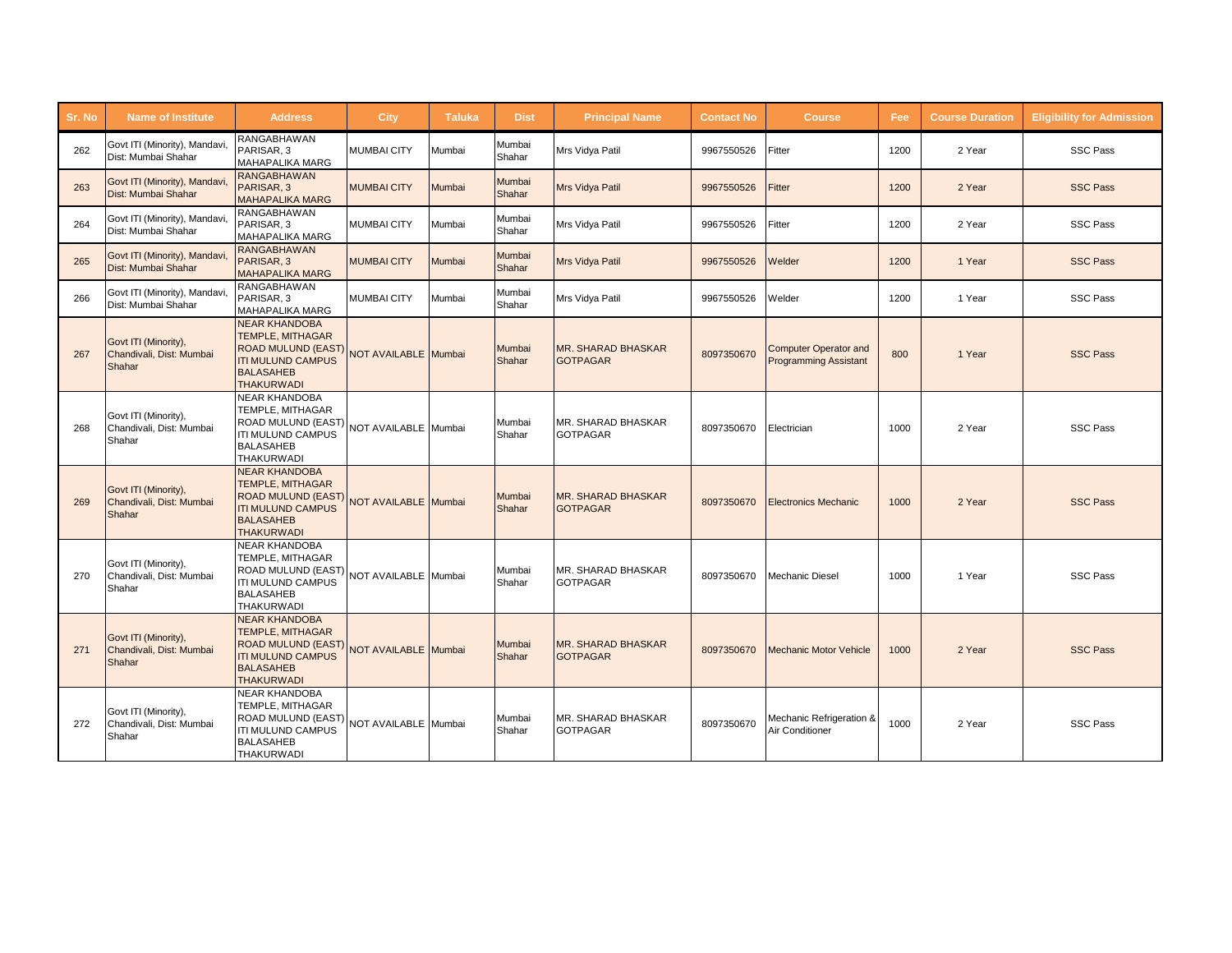| Sr. No | <b>Name of Institute</b>                                   | <b>Address</b>                                                                                                                                                     | <b>City</b>        | <b>Taluka</b> | <b>Dist</b>      | <b>Principal Name</b>                        | <b>Contact No</b> | <b>Course</b>                                                | Fee  | <b>Course Duration</b> | <b>Eligibility for Admission</b> |
|--------|------------------------------------------------------------|--------------------------------------------------------------------------------------------------------------------------------------------------------------------|--------------------|---------------|------------------|----------------------------------------------|-------------------|--------------------------------------------------------------|------|------------------------|----------------------------------|
| 262    | Govt ITI (Minority), Mandavi.<br>Dist: Mumbai Shahar       | <b>RANGABHAWAN</b><br>PARISAR, 3<br><b>MAHAPALIKA MARG</b>                                                                                                         | <b>MUMBAI CITY</b> | Mumbai        | Mumbai<br>Shahar | Mrs Vidya Patil                              | 9967550526        | Fitter                                                       | 1200 | 2 Year                 | <b>SSC Pass</b>                  |
| 263    | Govt ITI (Minority), Mandavi<br>Dist: Mumbai Shahar        | <b>RANGABHAWAN</b><br>PARISAR, 3<br><b>MAHAPALIKA MARG</b>                                                                                                         | <b>MUMBAI CITY</b> | Mumbai        | Mumbai<br>Shahar | <b>Mrs Vidya Patil</b>                       | 9967550526        | Fitter                                                       | 1200 | 2 Year                 | <b>SSC Pass</b>                  |
| 264    | Govt ITI (Minority), Mandavi,<br>Dist: Mumbai Shahar       | <b>RANGABHAWAN</b><br>PARISAR, 3<br><b>MAHAPALIKA MARG</b>                                                                                                         | <b>MUMBAI CITY</b> | Mumbai        | Mumbai<br>Shahar | Mrs Vidya Patil                              | 9967550526        | Fitter                                                       | 1200 | 2 Year                 | <b>SSC Pass</b>                  |
| 265    | Govt ITI (Minority), Mandavi<br>Dist: Mumbai Shahar        | <b>RANGABHAWAN</b><br>PARISAR, 3<br><b>MAHAPALIKA MARG</b>                                                                                                         | <b>MUMBAI CITY</b> | Mumbai        | Mumbai<br>Shahar | <b>Mrs Vidya Patil</b>                       | 9967550526        | Welder                                                       | 1200 | 1 Year                 | <b>SSC Pass</b>                  |
| 266    | Govt ITI (Minority), Mandavi.<br>Dist: Mumbai Shahar       | <b>RANGABHAWAN</b><br>PARISAR, 3<br><b>MAHAPALIKA MARG</b>                                                                                                         | <b>MUMBAI CITY</b> | Mumbai        | Mumbai<br>Shahar | Mrs Vidya Patil                              | 9967550526        | Welder                                                       | 1200 | 1 Year                 | <b>SSC Pass</b>                  |
| 267    | Govt ITI (Minority),<br>Chandivali, Dist: Mumbai<br>Shahar | <b>NEAR KHANDOBA</b><br><b>TEMPLE, MITHAGAR</b><br>ROAD MULUND (EAST) NOT AVAILABLE Mumbai<br><b>ITI MULUND CAMPUS</b><br><b>BALASAHEB</b><br><b>THAKURWADI</b>    |                    |               | Mumbai<br>Shahar | <b>MR. SHARAD BHASKAR</b><br><b>GOTPAGAR</b> | 8097350670        | <b>Computer Operator and</b><br><b>Programming Assistant</b> | 800  | 1 Year                 | <b>SSC Pass</b>                  |
| 268    | Govt ITI (Minority),<br>Chandivali, Dist: Mumbai<br>Shahar | <b>NEAR KHANDOBA</b><br>TEMPLE, MITHAGAR<br>ROAD MULUND (EAST) NOT AVAILABLE Mumbai<br><b>ITI MULUND CAMPUS</b><br><b>BALASAHEB</b><br><b>THAKURWADI</b>           |                    |               | Mumbai<br>Shahar | MR. SHARAD BHASKAR<br><b>GOTPAGAR</b>        | 8097350670        | Electrician                                                  | 1000 | 2 Year                 | <b>SSC Pass</b>                  |
| 269    | Govt ITI (Minority),<br>Chandivali, Dist: Mumbai<br>Shahar | <b>NEAR KHANDOBA</b><br><b>TEMPLE, MITHAGAR</b><br>ROAD MULUND (EAST) NOT AVAILABLE Mumbai<br><b>BALASAHEB</b><br><b>THAKURWADI</b>                                |                    |               | Mumbai<br>Shahar | <b>MR. SHARAD BHASKAR</b><br><b>GOTPAGAR</b> | 8097350670        | <b>Electronics Mechanic</b>                                  | 1000 | 2 Year                 | <b>SSC Pass</b>                  |
| 270    | Govt ITI (Minority),<br>Chandivali, Dist: Mumbai<br>Shahar | <b>NEAR KHANDOBA</b><br>TEMPLE, MITHAGAR<br> <br> ROAD MULUND (EAST)   NOT AVAILABLE   Mumbai<br><b>ITI MULUND CAMPUS</b><br><b>BALASAHEB</b><br><b>THAKURWADI</b> |                    |               | Mumbai<br>Shahar | <b>MR. SHARAD BHASKAR</b><br><b>GOTPAGAR</b> | 8097350670        | <b>Mechanic Diesel</b>                                       | 1000 | 1 Year                 | <b>SSC Pass</b>                  |
| 271    | Govt ITI (Minority),<br>Chandivali, Dist: Mumbai<br>Shahar | <b>NEAR KHANDOBA</b><br><b>TEMPLE, MITHAGAR</b><br>ROAD MULUND (EAST) NOT AVAILABLE Mumbai<br><b>ITI MULUND CAMPUS</b><br><b>BALASAHEB</b><br><b>THAKURWADI</b>    |                    |               | Mumbai<br>Shahar | <b>MR. SHARAD BHASKAR</b><br><b>GOTPAGAR</b> | 8097350670        | <b>Mechanic Motor Vehicle</b>                                | 1000 | 2 Year                 | <b>SSC Pass</b>                  |
| 272    | Govt ITI (Minority).<br>Chandivali, Dist: Mumbai<br>Shahar | <b>NEAR KHANDOBA</b><br>TEMPLE, MITHAGAR<br>ROAD MULUND (EAST) NOT AVAILABLE Mumbai<br><b>ITI MULUND CAMPUS</b><br><b>BALASAHEB</b><br><b>THAKURWADI</b>           |                    |               | Mumbai<br>Shahar | MR. SHARAD BHASKAR<br><b>GOTPAGAR</b>        | 8097350670        | Mechanic Refrigeration &<br>Air Conditioner                  | 1000 | 2 Year                 | <b>SSC Pass</b>                  |